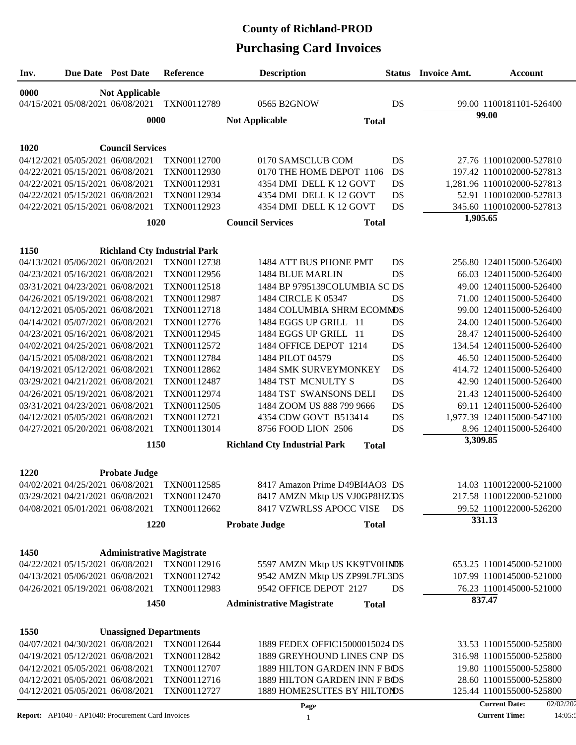# **Purchasing Card Invoices County of Richland-PROD**

| Inv. |                                  | Due Date Post Date               | Reference                                          | <b>Description</b>                                      |           | <b>Status</b> Invoice Amt. | <b>Account</b>                    |
|------|----------------------------------|----------------------------------|----------------------------------------------------|---------------------------------------------------------|-----------|----------------------------|-----------------------------------|
| 0000 |                                  | <b>Not Applicable</b>            |                                                    |                                                         |           |                            |                                   |
|      |                                  | 04/15/2021 05/08/2021 06/08/2021 | TXN00112789                                        | 0565 B2GNOW                                             | DS        |                            | 99.00 1100181101-526400           |
|      |                                  | 0000                             |                                                    | <b>Not Applicable</b><br><b>Total</b>                   |           |                            | 99.00                             |
| 1020 |                                  | <b>Council Services</b>          |                                                    |                                                         |           |                            |                                   |
|      | 04/12/2021 05/05/2021 06/08/2021 |                                  | TXN00112700                                        | 0170 SAMSCLUB COM                                       | DS        |                            | 27.76 1100102000-527810           |
|      | 04/22/2021 05/15/2021 06/08/2021 |                                  | TXN00112930                                        | 0170 THE HOME DEPOT 1106                                | DS        |                            | 197.42 1100102000-527813          |
|      | 04/22/2021 05/15/2021 06/08/2021 |                                  | TXN00112931                                        | 4354 DMI DELL K 12 GOVT                                 | DS        |                            | 1,281.96 1100102000-527813        |
|      | 04/22/2021 05/15/2021 06/08/2021 |                                  | TXN00112934                                        | 4354 DMI DELL K 12 GOVT                                 | DS        |                            | 52.91 1100102000-527813           |
|      | 04/22/2021 05/15/2021 06/08/2021 |                                  | TXN00112923                                        | 4354 DMI DELL K 12 GOVT                                 | DS        |                            | 345.60 1100102000-527813          |
|      |                                  | 1020                             |                                                    | <b>Council Services</b><br><b>Total</b>                 |           | 1,905.65                   |                                   |
| 1150 |                                  |                                  |                                                    |                                                         |           |                            |                                   |
|      |                                  | 04/13/2021 05/06/2021 06/08/2021 | <b>Richland Cty Industrial Park</b><br>TXN00112738 | 1484 ATT BUS PHONE PMT                                  | DS        |                            | 256.80 1240115000-526400          |
|      | 04/23/2021 05/16/2021 06/08/2021 |                                  | TXN00112956                                        | 1484 BLUE MARLIN                                        | DS        |                            | 66.03 1240115000-526400           |
|      | 03/31/2021 04/23/2021 06/08/2021 |                                  | TXN00112518                                        | 1484 BP 9795139COLUMBIA SC DS                           |           |                            | 49.00 1240115000-526400           |
|      | 04/26/2021 05/19/2021 06/08/2021 |                                  | TXN00112987                                        | 1484 CIRCLE K 05347                                     | DS        |                            | 71.00 1240115000-526400           |
|      | 04/12/2021 05/05/2021 06/08/2021 |                                  | TXN00112718                                        | 1484 COLUMBIA SHRM ECOMMDS                              |           |                            | 99.00 1240115000-526400           |
|      | 04/14/2021 05/07/2021 06/08/2021 |                                  | TXN00112776                                        | 1484 EGGS UP GRILL 11                                   | DS        |                            | 24.00 1240115000-526400           |
|      | 04/23/2021 05/16/2021 06/08/2021 |                                  | TXN00112945                                        | 1484 EGGS UP GRILL 11                                   | DS        |                            | 28.47 1240115000-526400           |
|      | 04/02/2021 04/25/2021 06/08/2021 |                                  | TXN00112572                                        | 1484 OFFICE DEPOT 1214                                  | DS        |                            | 134.54 1240115000-526400          |
|      | 04/15/2021 05/08/2021 06/08/2021 |                                  | TXN00112784                                        | 1484 PILOT 04579                                        | DS        |                            | 46.50 1240115000-526400           |
|      | 04/19/2021 05/12/2021 06/08/2021 |                                  | TXN00112862                                        | 1484 SMK SURVEYMONKEY                                   | <b>DS</b> |                            | 414.72 1240115000-526400          |
|      | 03/29/2021 04/21/2021 06/08/2021 |                                  | TXN00112487                                        | 1484 TST MCNULTY S                                      | DS        |                            | 42.90 1240115000-526400           |
|      | 04/26/2021 05/19/2021 06/08/2021 |                                  | TXN00112974                                        | 1484 TST SWANSONS DELI                                  | DS        |                            | 21.43 1240115000-526400           |
|      | 03/31/2021 04/23/2021 06/08/2021 |                                  | TXN00112505                                        | 1484 ZOOM US 888 799 9666                               | DS        |                            | 69.11 1240115000-526400           |
|      | 04/12/2021 05/05/2021 06/08/2021 |                                  | TXN00112721                                        | 4354 CDW GOVT B513414                                   | DS        |                            | 1,977.39 1240115000-547100        |
|      | 04/27/2021 05/20/2021 06/08/2021 |                                  | TXN00113014                                        | 8756 FOOD LION 2506                                     | DS        |                            | 8.96 1240115000-526400            |
|      |                                  | 1150                             |                                                    | <b>Richland Cty Industrial Park</b><br><b>Total</b>     |           | 3,309.85                   |                                   |
| 1220 |                                  | <b>Probate Judge</b>             |                                                    |                                                         |           |                            |                                   |
|      |                                  |                                  | 04/02/2021 04/25/2021 06/08/2021 TXN00112585       | 8417 Amazon Prime D49BI4AO3 DS                          |           |                            | 14.03 1100122000-521000           |
|      |                                  | 03/29/2021 04/21/2021 06/08/2021 | TXN00112470                                        | 8417 AMZN Mktp US VJ0GP8HZDS                            |           |                            | 217.58 1100122000-521000          |
|      |                                  | 04/08/2021 05/01/2021 06/08/2021 | TXN00112662                                        | 8417 VZWRLSS APOCC VISE                                 | DS        |                            | 99.52 1100122000-526200           |
|      |                                  | 1220                             |                                                    | <b>Probate Judge</b><br><b>Total</b>                    |           |                            | 331.13                            |
|      |                                  |                                  |                                                    |                                                         |           |                            |                                   |
| 1450 |                                  | <b>Administrative Magistrate</b> |                                                    |                                                         |           |                            |                                   |
|      |                                  | 04/22/2021 05/15/2021 06/08/2021 | TXN00112916                                        | 5597 AMZN Mktp US KK9TV0HNDS                            |           |                            | 653.25 1100145000-521000          |
|      |                                  | 04/13/2021 05/06/2021 06/08/2021 | TXN00112742<br>TXN00112983                         | 9542 AMZN Mktp US ZP99L7FL3DS<br>9542 OFFICE DEPOT 2127 | DS        |                            | 107.99 1100145000-521000          |
|      |                                  | 04/26/2021 05/19/2021 06/08/2021 |                                                    |                                                         |           |                            | 76.23 1100145000-521000<br>837.47 |
|      |                                  | 1450                             |                                                    | <b>Administrative Magistrate</b><br><b>Total</b>        |           |                            |                                   |
| 1550 |                                  | <b>Unassigned Departments</b>    |                                                    |                                                         |           |                            |                                   |
|      |                                  | 04/07/2021 04/30/2021 06/08/2021 | TXN00112644                                        | 1889 FEDEX OFFIC15000015024 DS                          |           |                            | 33.53 1100155000-525800           |
|      |                                  | 04/19/2021 05/12/2021 06/08/2021 | TXN00112842                                        | 1889 GREYHOUND LINES CNP DS                             |           |                            | 316.98 1100155000-525800          |
|      |                                  | 04/12/2021 05/05/2021 06/08/2021 | TXN00112707                                        | 1889 HILTON GARDEN INN F BOS                            |           |                            | 19.80 1100155000-525800           |
|      |                                  | 04/12/2021 05/05/2021 06/08/2021 | TXN00112716                                        | 1889 HILTON GARDEN INN F BOS                            |           |                            | 28.60 1100155000-525800           |
|      |                                  | 04/12/2021 05/05/2021 06/08/2021 | TXN00112727                                        | 1889 HOME2SUITES BY HILTONDS                            |           |                            | 125.44 1100155000-525800          |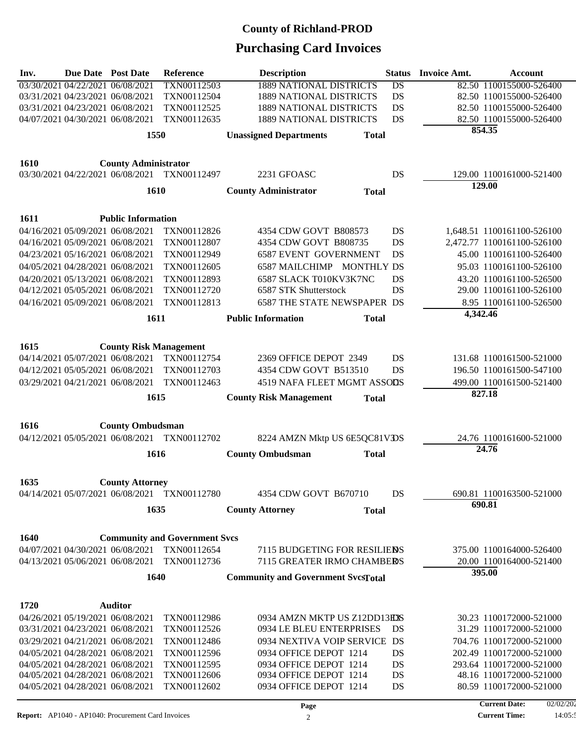| Inv. | <b>Due Date</b> Post Date        |                                                                      | Reference                                    | <b>Description</b>                                         |              | <b>Status</b>   | <b>Invoice Amt.</b> | Account                                             |
|------|----------------------------------|----------------------------------------------------------------------|----------------------------------------------|------------------------------------------------------------|--------------|-----------------|---------------------|-----------------------------------------------------|
|      | 03/30/2021 04/22/2021 06/08/2021 |                                                                      | TXN00112503                                  | <b>1889 NATIONAL DISTRICTS</b>                             |              | $\overline{DS}$ |                     | 82.50 1100155000-526400                             |
|      | 03/31/2021 04/23/2021 06/08/2021 |                                                                      | TXN00112504                                  | <b>1889 NATIONAL DISTRICTS</b>                             |              | DS              |                     | 82.50 1100155000-526400                             |
|      | 03/31/2021 04/23/2021 06/08/2021 |                                                                      | TXN00112525                                  | <b>1889 NATIONAL DISTRICTS</b>                             |              | DS              |                     | 82.50 1100155000-526400                             |
|      | 04/07/2021 04/30/2021 06/08/2021 |                                                                      | TXN00112635                                  | <b>1889 NATIONAL DISTRICTS</b>                             |              | <b>DS</b>       |                     | 82.50 1100155000-526400                             |
|      |                                  | 1550                                                                 |                                              | <b>Unassigned Departments</b>                              | <b>Total</b> |                 |                     | 854.35                                              |
|      |                                  |                                                                      |                                              |                                                            |              |                 |                     |                                                     |
| 1610 |                                  | <b>County Administrator</b>                                          | 03/30/2021 04/22/2021 06/08/2021 TXN00112497 | 2231 GFOASC                                                |              | DS              |                     | 129.00 1100161000-521400                            |
|      |                                  |                                                                      |                                              |                                                            |              |                 |                     | 129.00                                              |
|      |                                  | 1610                                                                 |                                              | <b>County Administrator</b>                                | <b>Total</b> |                 |                     |                                                     |
| 1611 |                                  | <b>Public Information</b>                                            |                                              |                                                            |              |                 |                     |                                                     |
|      | 04/16/2021 05/09/2021 06/08/2021 |                                                                      | TXN00112826                                  | 4354 CDW GOVT B808573                                      |              | DS              |                     | 1,648.51 1100161100-526100                          |
|      | 04/16/2021 05/09/2021 06/08/2021 |                                                                      | TXN00112807                                  | 4354 CDW GOVT B808735                                      |              | DS              |                     | 2,472.77 1100161100-526100                          |
|      | 04/23/2021 05/16/2021 06/08/2021 |                                                                      | TXN00112949                                  | <b>6587 EVENT GOVERNMENT</b>                               |              | DS              |                     | 45.00 1100161100-526400                             |
|      | 04/05/2021 04/28/2021 06/08/2021 |                                                                      | TXN00112605                                  | 6587 MAILCHIMP MONTHLY DS                                  |              |                 |                     | 95.03 1100161100-526100                             |
|      | 04/20/2021 05/13/2021 06/08/2021 |                                                                      | TXN00112893                                  | 6587 SLACK T010KV3K7NC                                     |              | DS              |                     | 43.20 1100161100-526500                             |
|      | 04/12/2021 05/05/2021 06/08/2021 |                                                                      | TXN00112720                                  | 6587 STK Shutterstock                                      |              | DS              |                     | 29.00 1100161100-526100                             |
|      | 04/16/2021 05/09/2021 06/08/2021 |                                                                      | TXN00112813                                  | <b>6587 THE STATE NEWSPAPER DS</b>                         |              |                 |                     | 8.95 1100161100-526500                              |
|      |                                  | 1611                                                                 |                                              | <b>Public Information</b>                                  | <b>Total</b> |                 | 4,342.46            |                                                     |
|      |                                  |                                                                      |                                              |                                                            |              |                 |                     |                                                     |
| 1615 |                                  | <b>County Risk Management</b>                                        |                                              |                                                            |              |                 |                     |                                                     |
|      |                                  | 04/14/2021 05/07/2021 06/08/2021                                     | TXN00112754                                  | 2369 OFFICE DEPOT 2349                                     |              | DS              |                     | 131.68 1100161500-521000                            |
|      | 04/12/2021 05/05/2021 06/08/2021 |                                                                      | TXN00112703                                  | 4354 CDW GOVT B513510                                      |              | DS              |                     | 196.50 1100161500-547100                            |
|      | 03/29/2021 04/21/2021 06/08/2021 |                                                                      | TXN00112463                                  | 4519 NAFA FLEET MGMT ASSODS                                |              |                 |                     | 499.00 1100161500-521400                            |
|      |                                  | 1615                                                                 |                                              | <b>County Risk Management</b>                              | <b>Total</b> |                 |                     | 827.18                                              |
|      |                                  |                                                                      |                                              |                                                            |              |                 |                     |                                                     |
| 1616 |                                  | <b>County Ombudsman</b>                                              | 04/12/2021 05/05/2021 06/08/2021 TXN00112702 | 8224 AMZN Mktp US 6E5QC81VDS                               |              |                 |                     | 24.76 1100161600-521000                             |
|      |                                  |                                                                      |                                              |                                                            |              |                 |                     | 24.76                                               |
|      |                                  | 1616                                                                 |                                              | <b>County Ombudsman</b>                                    | <b>Total</b> |                 |                     |                                                     |
| 1635 |                                  | <b>County Attorney</b>                                               |                                              |                                                            |              |                 |                     |                                                     |
|      |                                  |                                                                      | 04/14/2021 05/07/2021 06/08/2021 TXN00112780 | 4354 CDW GOVT B670710                                      |              | DS              |                     | 690.81 1100163500-521000                            |
|      |                                  | 1635                                                                 |                                              | <b>County Attorney</b>                                     | <b>Total</b> |                 |                     | 690.81                                              |
|      |                                  |                                                                      |                                              |                                                            |              |                 |                     |                                                     |
| 1640 |                                  |                                                                      | <b>Community and Government Svcs</b>         |                                                            |              |                 |                     |                                                     |
|      |                                  | 04/07/2021 04/30/2021 06/08/2021<br>04/13/2021 05/06/2021 06/08/2021 | TXN00112654<br>TXN00112736                   | 7115 BUDGETING FOR RESILIEDS<br>7115 GREATER IRMO CHAMBERS |              |                 |                     | 375.00 1100164000-526400<br>20.00 1100164000-521400 |
|      |                                  | 1640                                                                 |                                              | <b>Community and Government SvcsTotal</b>                  |              |                 |                     | 395.00                                              |
|      |                                  |                                                                      |                                              |                                                            |              |                 |                     |                                                     |
| 1720 |                                  | <b>Auditor</b>                                                       |                                              |                                                            |              |                 |                     |                                                     |
|      | 04/26/2021 05/19/2021 06/08/2021 |                                                                      | TXN00112986                                  | 0934 AMZN MKTP US Z12DD13EXS                               |              |                 |                     | 30.23 1100172000-521000                             |
|      | 03/31/2021 04/23/2021 06/08/2021 |                                                                      | TXN00112526                                  | 0934 LE BLEU ENTERPRISES                                   |              | DS              |                     | 31.29 1100172000-521000                             |
|      | 03/29/2021 04/21/2021 06/08/2021 |                                                                      | TXN00112486                                  | 0934 NEXTIVA VOIP SERVICE DS                               |              |                 |                     | 704.76 1100172000-521000                            |
|      | 04/05/2021 04/28/2021 06/08/2021 |                                                                      | TXN00112596                                  | 0934 OFFICE DEPOT 1214                                     |              | DS              |                     | 202.49 1100172000-521000                            |
|      | 04/05/2021 04/28/2021 06/08/2021 |                                                                      | TXN00112595                                  | 0934 OFFICE DEPOT 1214                                     |              | DS              |                     | 293.64 1100172000-521000                            |
|      | 04/05/2021 04/28/2021 06/08/2021 |                                                                      | TXN00112606                                  | 0934 OFFICE DEPOT 1214                                     |              | DS              |                     | 48.16 1100172000-521000                             |
|      | 04/05/2021 04/28/2021 06/08/2021 |                                                                      | TXN00112602                                  | 0934 OFFICE DEPOT 1214                                     |              | DS              |                     | 80.59 1100172000-521000                             |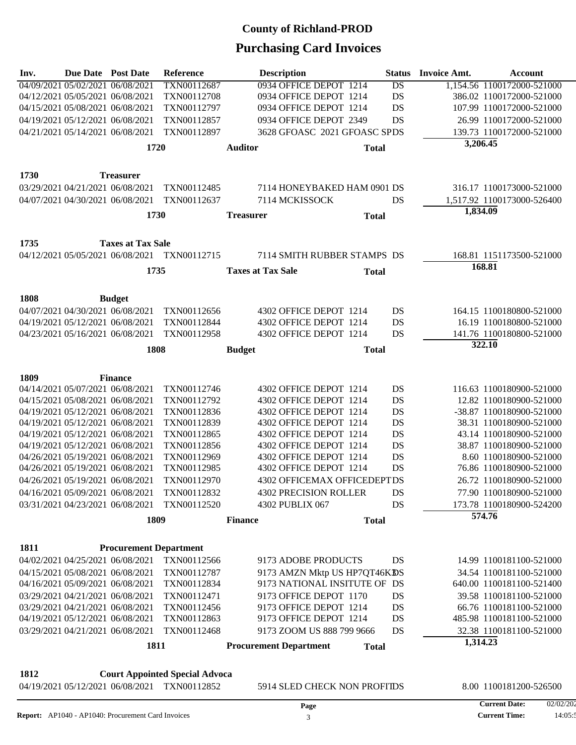| Inv. | Due Date Post Date               |                                  | Reference                                                                             |                  | <b>Description</b>            |              | <b>Status</b>   | <b>Invoice Amt.</b> | Account                    |
|------|----------------------------------|----------------------------------|---------------------------------------------------------------------------------------|------------------|-------------------------------|--------------|-----------------|---------------------|----------------------------|
|      | 04/09/2021 05/02/2021 06/08/2021 |                                  | TXN00112687                                                                           |                  | 0934 OFFICE DEPOT 1214        |              | $\overline{DS}$ |                     | 1,154.56 1100172000-521000 |
|      | 04/12/2021 05/05/2021 06/08/2021 |                                  | TXN00112708                                                                           |                  | 0934 OFFICE DEPOT 1214        |              | DS              |                     | 386.02 1100172000-521000   |
|      | 04/15/2021 05/08/2021 06/08/2021 |                                  | TXN00112797                                                                           |                  | 0934 OFFICE DEPOT 1214        |              | DS              |                     | 107.99 1100172000-521000   |
|      | 04/19/2021 05/12/2021 06/08/2021 |                                  | TXN00112857                                                                           |                  | 0934 OFFICE DEPOT 2349        |              | DS              |                     | 26.99 1100172000-521000    |
|      | 04/21/2021 05/14/2021 06/08/2021 |                                  | TXN00112897                                                                           |                  | 3628 GFOASC 2021 GFOASC SPDS  |              |                 |                     | 139.73 1100172000-521000   |
|      |                                  | 1720                             |                                                                                       | <b>Auditor</b>   |                               | <b>Total</b> |                 | 3,206.45            |                            |
|      |                                  |                                  |                                                                                       |                  |                               |              |                 |                     |                            |
| 1730 |                                  | <b>Treasurer</b>                 |                                                                                       |                  |                               |              |                 |                     |                            |
|      | 03/29/2021 04/21/2021 06/08/2021 |                                  | TXN00112485                                                                           |                  | 7114 HONEYBAKED HAM 0901 DS   |              |                 |                     | 316.17 1100173000-521000   |
|      |                                  | 04/07/2021 04/30/2021 06/08/2021 | TXN00112637                                                                           |                  | 7114 MCKISSOCK                |              | <b>DS</b>       |                     | 1,517.92 1100173000-526400 |
|      |                                  | 1730                             |                                                                                       | <b>Treasurer</b> |                               | <b>Total</b> |                 | 1,834.09            |                            |
|      |                                  |                                  |                                                                                       |                  |                               |              |                 |                     |                            |
| 1735 |                                  | <b>Taxes at Tax Sale</b>         |                                                                                       |                  |                               |              |                 |                     |                            |
|      |                                  | 04/12/2021 05/05/2021 06/08/2021 | TXN00112715                                                                           |                  | 7114 SMITH RUBBER STAMPS DS   |              |                 |                     | 168.81 1151173500-521000   |
|      |                                  | 1735                             |                                                                                       |                  | <b>Taxes at Tax Sale</b>      | <b>Total</b> |                 | 168.81              |                            |
|      |                                  |                                  |                                                                                       |                  |                               |              |                 |                     |                            |
| 1808 |                                  | <b>Budget</b>                    |                                                                                       |                  |                               |              |                 |                     |                            |
|      | 04/07/2021 04/30/2021 06/08/2021 |                                  | TXN00112656                                                                           |                  | 4302 OFFICE DEPOT 1214        |              | DS              |                     | 164.15 1100180800-521000   |
|      | 04/19/2021 05/12/2021 06/08/2021 |                                  | TXN00112844                                                                           |                  | 4302 OFFICE DEPOT 1214        |              | DS              |                     | 16.19 1100180800-521000    |
|      | 04/23/2021 05/16/2021 06/08/2021 |                                  | TXN00112958                                                                           |                  | 4302 OFFICE DEPOT 1214        |              | <b>DS</b>       |                     | 141.76 1100180800-521000   |
|      |                                  | 1808                             |                                                                                       |                  |                               | <b>Total</b> |                 | 322.10              |                            |
|      |                                  |                                  |                                                                                       | <b>Budget</b>    |                               |              |                 |                     |                            |
| 1809 |                                  | <b>Finance</b>                   |                                                                                       |                  |                               |              |                 |                     |                            |
|      | 04/14/2021 05/07/2021 06/08/2021 |                                  | TXN00112746                                                                           |                  | 4302 OFFICE DEPOT 1214        |              | DS              |                     | 116.63 1100180900-521000   |
|      | 04/15/2021 05/08/2021 06/08/2021 |                                  | TXN00112792                                                                           |                  | 4302 OFFICE DEPOT 1214        |              | DS              |                     | 12.82 1100180900-521000    |
|      | 04/19/2021 05/12/2021 06/08/2021 |                                  | TXN00112836                                                                           |                  | 4302 OFFICE DEPOT 1214        |              | DS              |                     | -38.87 1100180900-521000   |
|      | 04/19/2021 05/12/2021 06/08/2021 |                                  | TXN00112839                                                                           |                  | 4302 OFFICE DEPOT 1214        |              | DS              |                     | 38.31 1100180900-521000    |
|      | 04/19/2021 05/12/2021 06/08/2021 |                                  | TXN00112865                                                                           |                  | 4302 OFFICE DEPOT 1214        |              | DS              |                     | 43.14 1100180900-521000    |
|      | 04/19/2021 05/12/2021 06/08/2021 |                                  | TXN00112856                                                                           |                  | 4302 OFFICE DEPOT 1214        |              | DS              |                     | 38.87 1100180900-521000    |
|      | 04/26/2021 05/19/2021 06/08/2021 |                                  | TXN00112969                                                                           |                  | 4302 OFFICE DEPOT 1214        |              | DS              |                     | 8.60 1100180900-521000     |
|      | 04/26/2021 05/19/2021 06/08/2021 |                                  | TXN00112985                                                                           |                  | 4302 OFFICE DEPOT 1214        |              | DS              |                     | 76.86 1100180900-521000    |
|      | 04/26/2021 05/19/2021 06/08/2021 |                                  | TXN00112970                                                                           |                  | 4302 OFFICEMAX OFFICEDEPTDS   |              |                 |                     | 26.72 1100180900-521000    |
|      | 04/16/2021 05/09/2021 06/08/2021 |                                  | TXN00112832                                                                           |                  | <b>4302 PRECISION ROLLER</b>  |              | DS              |                     | 77.90 1100180900-521000    |
|      | 03/31/2021 04/23/2021 06/08/2021 |                                  | TXN00112520                                                                           |                  | 4302 PUBLIX 067               |              | <b>DS</b>       |                     | 173.78 1100180900-524200   |
|      |                                  |                                  |                                                                                       |                  |                               |              |                 |                     | 574.76                     |
|      |                                  | 1809                             |                                                                                       | <b>Finance</b>   |                               | <b>Total</b> |                 |                     |                            |
| 1811 |                                  | <b>Procurement Department</b>    |                                                                                       |                  |                               |              |                 |                     |                            |
|      |                                  | 04/02/2021 04/25/2021 06/08/2021 | TXN00112566                                                                           |                  | 9173 ADOBE PRODUCTS           |              | DS              |                     | 14.99 1100181100-521000    |
|      |                                  | 04/15/2021 05/08/2021 06/08/2021 | TXN00112787                                                                           |                  | 9173 AMZN Mktp US HP7QT46KDS  |              |                 |                     | 34.54 1100181100-521000    |
|      | 04/16/2021 05/09/2021 06/08/2021 |                                  | TXN00112834                                                                           |                  | 9173 NATIONAL INSITUTE OF DS  |              |                 |                     | 640.00 1100181100-521400   |
|      | 03/29/2021 04/21/2021 06/08/2021 |                                  | TXN00112471                                                                           |                  | 9173 OFFICE DEPOT 1170        |              | DS              |                     | 39.58 1100181100-521000    |
|      | 03/29/2021 04/21/2021 06/08/2021 |                                  | TXN00112456                                                                           |                  | 9173 OFFICE DEPOT 1214        |              | DS              |                     | 66.76 1100181100-521000    |
|      | 04/19/2021 05/12/2021 06/08/2021 |                                  | TXN00112863                                                                           |                  | 9173 OFFICE DEPOT 1214        |              | DS              |                     | 485.98 1100181100-521000   |
|      | 03/29/2021 04/21/2021 06/08/2021 |                                  | TXN00112468                                                                           |                  | 9173 ZOOM US 888 799 9666     |              | DS              |                     | 32.38 1100181100-521000    |
|      |                                  |                                  |                                                                                       |                  |                               |              |                 | 1,314.23            |                            |
|      |                                  | 1811                             |                                                                                       |                  | <b>Procurement Department</b> | <b>Total</b> |                 |                     |                            |
| 1812 |                                  |                                  |                                                                                       |                  |                               |              |                 |                     |                            |
|      |                                  |                                  | <b>Court Appointed Special Advoca</b><br>04/19/2021 05/12/2021 06/08/2021 TXN00112852 |                  |                               |              |                 |                     |                            |
|      |                                  |                                  |                                                                                       |                  | 5914 SLED CHECK NON PROFITDS  |              |                 |                     | 8.00 1100181200-526500     |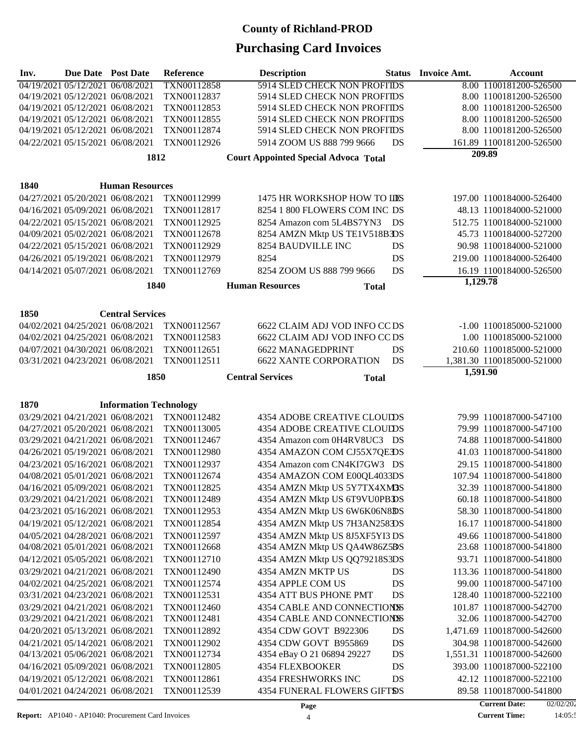| Inv. | Due Date Post Date               |                                                                      | Reference                  | <b>Description</b>                                           | <b>Status</b> | <b>Invoice Amt.</b> | <b>Account</b>                                     |
|------|----------------------------------|----------------------------------------------------------------------|----------------------------|--------------------------------------------------------------|---------------|---------------------|----------------------------------------------------|
|      | 04/19/2021 05/12/2021 06/08/2021 |                                                                      | TXN00112858                | <b>5914 SLED CHECK NON PROFITDS</b>                          |               |                     | 8.00 1100181200-526500                             |
|      |                                  | 04/19/2021 05/12/2021 06/08/2021                                     | TXN00112837                | 5914 SLED CHECK NON PROFITDS                                 |               |                     | 8.00 1100181200-526500                             |
|      |                                  | 04/19/2021 05/12/2021 06/08/2021                                     | TXN00112853                | 5914 SLED CHECK NON PROFITDS                                 |               |                     | 8.00 1100181200-526500                             |
|      | 04/19/2021 05/12/2021 06/08/2021 |                                                                      | TXN00112855                | 5914 SLED CHECK NON PROFITDS                                 |               |                     | 8.00 1100181200-526500                             |
|      |                                  | 04/19/2021 05/12/2021 06/08/2021                                     | TXN00112874                | 5914 SLED CHECK NON PROFITDS                                 |               |                     | 8.00 1100181200-526500                             |
|      |                                  | 04/22/2021 05/15/2021 06/08/2021                                     | TXN00112926                | 5914 ZOOM US 888 799 9666                                    | DS            |                     | 161.89 1100181200-526500<br>209.89                 |
|      |                                  | 1812                                                                 |                            | <b>Court Appointed Special Advoca Total</b>                  |               |                     |                                                    |
| 1840 |                                  | <b>Human Resources</b>                                               |                            |                                                              |               |                     |                                                    |
|      |                                  | 04/27/2021 05/20/2021 06/08/2021                                     | TXN00112999                | 1475 HR WORKSHOP HOW TO LDS                                  |               |                     | 197.00 1100184000-526400                           |
|      |                                  | 04/16/2021 05/09/2021 06/08/2021                                     | TXN00112817                | 8254 1 800 FLOWERS COM INC DS                                |               |                     | 48.13 1100184000-521000                            |
|      |                                  | 04/22/2021 05/15/2021 06/08/2021                                     | TXN00112925                | 8254 Amazon com 5L4BS7YN3 DS                                 |               |                     | 512.75 1100184000-521000                           |
|      |                                  | 04/09/2021 05/02/2021 06/08/2021                                     | TXN00112678                | 8254 AMZN Mktp US TE1V518B3DS                                |               |                     | 45.73 1100184000-527200                            |
|      |                                  | 04/22/2021 05/15/2021 06/08/2021                                     | TXN00112929                | 8254 BAUDVILLE INC                                           | DS            |                     | 90.98 1100184000-521000                            |
|      | 04/26/2021 05/19/2021 06/08/2021 |                                                                      | TXN00112979                | 8254                                                         | <b>DS</b>     |                     | 219.00 1100184000-526400                           |
|      |                                  | 04/14/2021 05/07/2021 06/08/2021                                     | TXN00112769                | 8254 ZOOM US 888 799 9666                                    | DS            |                     | 16.19 1100184000-526500                            |
|      |                                  | 1840                                                                 |                            | <b>Human Resources</b>                                       | <b>Total</b>  | 1,129.78            |                                                    |
|      |                                  |                                                                      |                            |                                                              |               |                     |                                                    |
| 1850 |                                  | <b>Central Services</b>                                              |                            |                                                              |               |                     |                                                    |
|      |                                  | 04/02/2021 04/25/2021 06/08/2021                                     | TXN00112567                | 6622 CLAIM ADJ VOD INFO CC DS                                |               |                     | -1.00 1100185000-521000                            |
|      |                                  | 04/02/2021 04/25/2021 06/08/2021                                     | TXN00112583                | 6622 CLAIM ADJ VOD INFO CC DS                                |               |                     | 1.00 1100185000-521000                             |
|      |                                  | 04/07/2021 04/30/2021 06/08/2021                                     | TXN00112651                | <b>6622 MANAGEDPRINT</b>                                     | DS            |                     | 210.60 1100185000-521000                           |
|      |                                  | 03/31/2021 04/23/2021 06/08/2021                                     | TXN00112511                | <b>6622 XANTE CORPORATION</b>                                | DS            |                     | 1,381.30 1100185000-521000                         |
|      |                                  | 1850                                                                 |                            | <b>Central Services</b>                                      | <b>Total</b>  | 1,591.90            |                                                    |
|      |                                  |                                                                      |                            |                                                              |               |                     |                                                    |
| 1870 |                                  | <b>Information Technology</b>                                        |                            |                                                              |               |                     |                                                    |
|      |                                  | 03/29/2021 04/21/2021 06/08/2021                                     | TXN00112482                | <b>4354 ADOBE CREATIVE CLOUIDS</b>                           |               |                     | 79.99 1100187000-547100                            |
|      |                                  | 04/27/2021 05/20/2021 06/08/2021                                     | TXN00113005                | <b>4354 ADOBE CREATIVE CLOUIDS</b>                           |               |                     | 79.99 1100187000-547100                            |
|      |                                  | 03/29/2021 04/21/2021 06/08/2021                                     | TXN00112467                | 4354 Amazon com 0H4RV8UC3 DS                                 |               |                     | 74.88 1100187000-541800                            |
|      |                                  | 04/26/2021 05/19/2021 06/08/2021                                     | TXN00112980                | 4354 AMAZON COM CJ55X7QEDS                                   |               |                     | 41.03 1100187000-541800                            |
|      |                                  | 04/23/2021 05/16/2021 06/08/2021                                     | TXN00112937                | 4354 Amazon com CN4KI7GW3 DS                                 |               |                     | 29.15 1100187000-541800                            |
|      |                                  | 04/08/2021 05/01/2021 06/08/2021                                     | TXN00112674                | 4354 AMAZON COM E00QL4033DS                                  |               |                     | 107.94 1100187000-541800                           |
|      |                                  | 04/16/2021 05/09/2021 06/08/2021<br>03/29/2021 04/21/2021 06/08/2021 | TXN00112825<br>TXN00112489 | 4354 AMZN Mktp US 5Y7TX4XM3S                                 |               |                     | 32.39 1100187000-541800<br>60.18 1100187000-541800 |
|      |                                  |                                                                      |                            | 4354 AMZN Mktp US 6T9VU0PBDS<br>4354 AMZN Mktp US 6W6K06N8BS |               |                     |                                                    |
|      |                                  | 04/23/2021 05/16/2021 06/08/2021<br>04/19/2021 05/12/2021 06/08/2021 | TXN00112953<br>TXN00112854 | 4354 AMZN Mktp US 7H3AN2583DS                                |               |                     | 58.30 1100187000-541800<br>16.17 1100187000-541800 |
|      |                                  | 04/05/2021 04/28/2021 06/08/2021                                     | TXN00112597                | 4354 AMZN Mktp US 8J5XF5YI3 DS                               |               |                     | 49.66 1100187000-541800                            |
|      |                                  | 04/08/2021 05/01/2021 06/08/2021                                     | TXN00112668                | 4354 AMZN Mktp US QA4W86Z5BS                                 |               |                     | 23.68 1100187000-541800                            |
|      |                                  | 04/12/2021 05/05/2021 06/08/2021                                     | TXN00112710                | 4354 AMZN Mktp US QQ79218S3DS                                |               |                     | 93.71 1100187000-541800                            |
|      |                                  | 03/29/2021 04/21/2021 06/08/2021                                     | TXN00112490                | 4354 AMZN MKTP US                                            | DS            |                     | 113.36 1100187000-541800                           |
|      |                                  | 04/02/2021 04/25/2021 06/08/2021                                     | TXN00112574                | 4354 APPLE COM US                                            | DS            |                     | 99.00 1100187000-547100                            |
|      |                                  | 03/31/2021 04/23/2021 06/08/2021                                     | TXN00112531                | 4354 ATT BUS PHONE PMT                                       | DS            |                     | 128.40 1100187000-522100                           |
|      |                                  | 03/29/2021 04/21/2021 06/08/2021                                     | TXN00112460                | <b>4354 CABLE AND CONNECTIONSS</b>                           |               |                     | 101.87 1100187000-542700                           |
|      |                                  | 03/29/2021 04/21/2021 06/08/2021                                     | TXN00112481                | 4354 CABLE AND CONNECTIONSS                                  |               |                     | 32.06 1100187000-542700                            |
|      |                                  | 04/20/2021 05/13/2021 06/08/2021                                     | TXN00112892                | 4354 CDW GOVT B922306                                        | DS            |                     | 1,471.69 1100187000-542600                         |
|      |                                  | 04/21/2021 05/14/2021 06/08/2021                                     | TXN00112902                | 4354 CDW GOVT B955869                                        | DS            |                     | 304.98 1100187000-542600                           |
|      |                                  | 04/13/2021 05/06/2021 06/08/2021                                     | TXN00112734                | 4354 eBay O 21 06894 29227                                   | DS            |                     | 1,551.31 1100187000-542600                         |
|      |                                  | 04/16/2021 05/09/2021 06/08/2021                                     | TXN00112805                | <b>4354 FLEXBOOKER</b>                                       | DS            |                     | 393.00 1100187000-522100                           |
|      |                                  | 04/19/2021 05/12/2021 06/08/2021                                     | TXN00112861                | 4354 FRESHWORKS INC                                          | DS            |                     | 42.12 1100187000-522100                            |
|      |                                  | 04/01/2021 04/24/2021 06/08/2021                                     | TXN00112539                | <b>4354 FUNERAL FLOWERS GIFTSS</b>                           |               |                     | 89.58 1100187000-541800                            |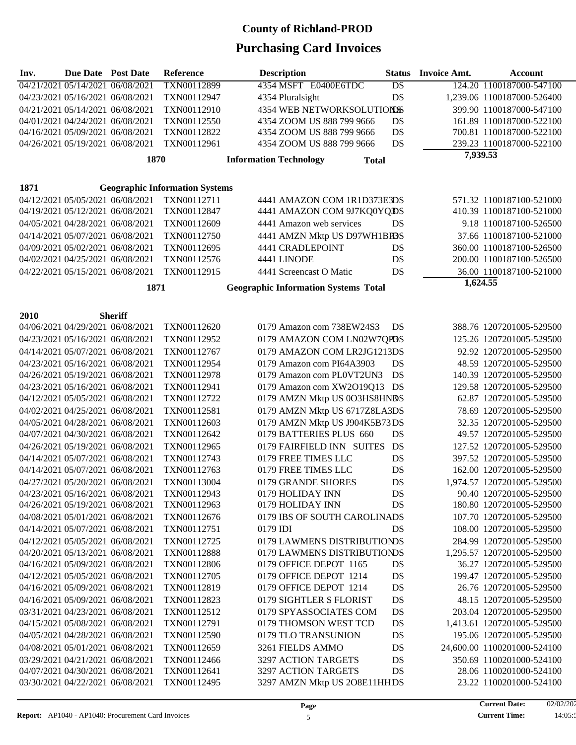| Inv. | <b>Due Date</b> Post Date                                            |                | Reference                             | <b>Description</b>                                         | <b>Status</b>   | <b>Invoice Amt.</b> | <b>Account</b>                                        |
|------|----------------------------------------------------------------------|----------------|---------------------------------------|------------------------------------------------------------|-----------------|---------------------|-------------------------------------------------------|
|      | 04/21/2021 05/14/2021 06/08/2021                                     |                | TXN00112899                           | 4354 MSFT E0400E6TDC                                       | $\overline{DS}$ |                     | 124.20 1100187000-547100                              |
|      | 04/23/2021 05/16/2021 06/08/2021                                     |                | TXN00112947                           | 4354 Pluralsight                                           | DS              |                     | 1,239.06 1100187000-526400                            |
|      | 04/21/2021 05/14/2021 06/08/2021                                     |                | TXN00112910                           | 4354 WEB NETWORKSOLUTIONSS                                 |                 |                     | 399.90 1100187000-547100                              |
|      | 04/01/2021 04/24/2021 06/08/2021                                     |                | TXN00112550                           | 4354 ZOOM US 888 799 9666                                  | DS              |                     | 161.89 1100187000-522100                              |
|      | 04/16/2021 05/09/2021 06/08/2021                                     |                | TXN00112822                           | 4354 ZOOM US 888 799 9666                                  | DS              |                     | 700.81 1100187000-522100                              |
|      | 04/26/2021 05/19/2021 06/08/2021                                     |                | TXN00112961                           | 4354 ZOOM US 888 799 9666                                  | DS              |                     | 239.23 1100187000-522100                              |
|      |                                                                      | 1870           |                                       | <b>Information Technology</b><br><b>Total</b>              |                 | 7,939.53            |                                                       |
|      |                                                                      |                |                                       |                                                            |                 |                     |                                                       |
| 1871 |                                                                      |                | <b>Geographic Information Systems</b> |                                                            |                 |                     |                                                       |
|      | 04/12/2021 05/05/2021 06/08/2021                                     |                | TXN00112711                           | 4441 AMAZON COM 1R1D373E3DS                                |                 |                     | 571.32 1100187100-521000                              |
|      | 04/19/2021 05/12/2021 06/08/2021                                     |                | TXN00112847                           | 4441 AMAZON COM 9J7KQ0YQDS                                 |                 |                     | 410.39 1100187100-521000                              |
|      | 04/05/2021 04/28/2021 06/08/2021                                     |                | TXN00112609                           | 4441 Amazon web services                                   | DS              |                     | 9.18 1100187100-526500                                |
|      | 04/14/2021 05/07/2021 06/08/2021                                     |                | TXN00112750                           | 4441 AMZN Mktp US D97WH1BP3S                               |                 |                     | 37.66 1100187100-521000                               |
|      | 04/09/2021 05/02/2021 06/08/2021                                     |                | TXN00112695                           | 4441 CRADLEPOINT                                           | DS              |                     | 360.00 1100187100-526500                              |
|      | 04/02/2021 04/25/2021 06/08/2021                                     |                | TXN00112576                           | 4441 LINODE                                                | DS              |                     | 200.00 1100187100-526500                              |
|      | 04/22/2021 05/15/2021 06/08/2021                                     |                | TXN00112915                           | 4441 Screencast O Matic                                    | DS              |                     | 36.00 1100187100-521000                               |
|      |                                                                      |                |                                       |                                                            |                 | 1,624.55            |                                                       |
|      |                                                                      | 1871           |                                       | <b>Geographic Information Systems Total</b>                |                 |                     |                                                       |
|      |                                                                      |                |                                       |                                                            |                 |                     |                                                       |
| 2010 |                                                                      | <b>Sheriff</b> |                                       |                                                            |                 |                     |                                                       |
|      | 04/06/2021 04/29/2021 06/08/2021                                     |                | TXN00112620                           | 0179 Amazon com 738EW24S3                                  | DS              |                     | 388.76 1207201005-529500                              |
|      | 04/23/2021 05/16/2021 06/08/2021                                     |                | TXN00112952                           | 0179 AMAZON COM LN02W7QPBS                                 |                 |                     | 125.26 1207201005-529500                              |
|      | 04/14/2021 05/07/2021 06/08/2021                                     |                | TXN00112767                           | 0179 AMAZON COM LR2JG1213DS                                |                 |                     | 92.92 1207201005-529500                               |
|      | 04/23/2021 05/16/2021 06/08/2021                                     |                | TXN00112954                           | 0179 Amazon com PI64A3903                                  | DS              |                     | 48.59 1207201005-529500                               |
|      | 04/26/2021 05/19/2021 06/08/2021                                     |                | TXN00112978                           | 0179 Amazon com PL0VT2UN3                                  | DS              |                     | 140.39 1207201005-529500                              |
|      | 04/23/2021 05/16/2021 06/08/2021                                     |                | TXN00112941                           | 0179 Amazon com XW2O19Q13                                  | DS              |                     | 129.58 1207201005-529500                              |
|      | 04/12/2021 05/05/2021 06/08/2021                                     |                | TXN00112722                           | 0179 AMZN Mktp US 0O3HS8HNBS                               |                 |                     | 62.87 1207201005-529500                               |
|      | 04/02/2021 04/25/2021 06/08/2021                                     |                | TXN00112581                           | 0179 AMZN Mktp US 6717Z8LA3DS                              |                 |                     | 78.69 1207201005-529500                               |
|      | 04/05/2021 04/28/2021 06/08/2021                                     |                | TXN00112603                           | 0179 AMZN Mktp US J904K5B73DS                              |                 |                     | 32.35 1207201005-529500                               |
|      | 04/07/2021 04/30/2021 06/08/2021                                     |                | TXN00112642                           | 0179 BATTERIES PLUS 660                                    | DS              |                     | 49.57 1207201005-529500                               |
|      | 04/26/2021 05/19/2021 06/08/2021                                     |                | TXN00112965                           | 0179 FAIRFIELD INN SUITES                                  | DS              |                     | 127.52 1207201005-529500                              |
|      | 04/14/2021 05/07/2021 06/08/2021                                     |                | TXN00112743                           | 0179 FREE TIMES LLC                                        | DS              |                     | 397.52 1207201005-529500                              |
|      | 04/14/2021 05/07/2021 06/08/2021                                     |                | TXN00112763                           | 0179 FREE TIMES LLC                                        | DS              |                     | 162.00 1207201005-529500                              |
|      | 04/27/2021 05/20/2021 06/08/2021                                     |                | TXN00113004                           | 0179 GRANDE SHORES                                         | DS              |                     | 1,974.57 1207201005-529500                            |
|      | 04/23/2021 05/16/2021 06/08/2021                                     |                | TXN00112943                           | 0179 HOLIDAY INN                                           | DS              |                     | 90.40 1207201005-529500                               |
|      | 04/26/2021 05/19/2021 06/08/2021                                     |                | TXN00112963                           | 0179 HOLIDAY INN                                           | DS              |                     | 180.80 1207201005-529500                              |
|      | 04/08/2021 05/01/2021 06/08/2021                                     |                | TXN00112676                           | 0179 IBS OF SOUTH CAROLINADS                               |                 |                     | 107.70 1207201005-529500                              |
|      | 04/14/2021 05/07/2021 06/08/2021                                     |                | TXN00112751                           | 0179 IDI                                                   | DS              |                     | 108.00 1207201005-529500                              |
|      | 04/12/2021 05/05/2021 06/08/2021<br>04/20/2021 05/13/2021 06/08/2021 |                | TXN00112725                           | 0179 LAWMENS DISTRIBUTIONDS<br>0179 LAWMENS DISTRIBUTIONDS |                 |                     | 284.99 1207201005-529500                              |
|      | 04/16/2021 05/09/2021 06/08/2021                                     |                | TXN00112888<br>TXN00112806            | 0179 OFFICE DEPOT 1165                                     | DS              |                     | 1,295.57 1207201005-529500<br>36.27 1207201005-529500 |
|      | 04/12/2021 05/05/2021 06/08/2021                                     |                | TXN00112705                           | 0179 OFFICE DEPOT 1214                                     | DS              |                     | 199.47 1207201005-529500                              |
|      | 04/16/2021 05/09/2021 06/08/2021                                     |                | TXN00112819                           | 0179 OFFICE DEPOT 1214                                     | DS              |                     | 26.76 1207201005-529500                               |
|      | 04/16/2021 05/09/2021 06/08/2021                                     |                | TXN00112823                           | 0179 SIGHTLER S FLORIST                                    | DS              |                     | 48.15 1207201005-529500                               |
|      | 03/31/2021 04/23/2021 06/08/2021                                     |                | TXN00112512                           | 0179 SPYASSOCIATES COM                                     | DS              |                     | 203.04 1207201005-529500                              |
|      | 04/15/2021 05/08/2021 06/08/2021                                     |                | TXN00112791                           | 0179 THOMSON WEST TCD                                      | DS              |                     | 1,413.61 1207201005-529500                            |
|      | 04/05/2021 04/28/2021 06/08/2021                                     |                | TXN00112590                           | 0179 TLO TRANSUNION                                        | DS              |                     | 195.06 1207201005-529500                              |
|      | 04/08/2021 05/01/2021 06/08/2021                                     |                | TXN00112659                           | 3261 FIELDS AMMO                                           | DS              |                     | 24,600.00 1100201000-524100                           |
|      | 03/29/2021 04/21/2021 06/08/2021                                     |                | TXN00112466                           | 3297 ACTION TARGETS                                        | DS              |                     | 350.69 1100201000-524100                              |
|      | 04/07/2021 04/30/2021 06/08/2021                                     |                | TXN00112641                           | 3297 ACTION TARGETS                                        | DS              |                     | 28.06 1100201000-524100                               |
|      | 03/30/2021 04/22/2021 06/08/2021                                     |                | TXN00112495                           | 3297 AMZN Mktp US 2O8E11HHDS                               |                 |                     | 23.22 1100201000-524100                               |
|      |                                                                      |                |                                       |                                                            |                 |                     |                                                       |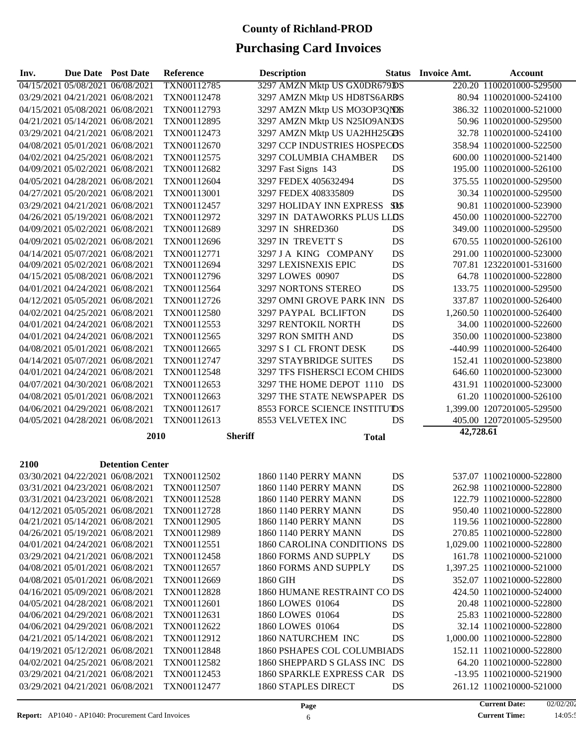| Reference<br>Due Date Post Date<br><b>Description</b><br><b>Status</b><br><b>Invoice Amt.</b><br>Inv.                      | <b>Account</b>                                       |
|----------------------------------------------------------------------------------------------------------------------------|------------------------------------------------------|
| TXN00112785<br>04/15/2021 05/08/2021 06/08/2021<br>3297 AMZN Mktp US GX0DR679DS                                            | 220.20 1100201000-529500                             |
| 03/29/2021 04/21/2021 06/08/2021<br>TXN00112478<br>3297 AMZN Mktp US HD8TS6ARBS                                            | 80.94 1100201000-524100                              |
| 3297 AMZN Mktp US MO3OP3QN2S<br>04/15/2021 05/08/2021 06/08/2021<br>TXN00112793                                            | 386.32 1100201000-521000                             |
| 3297 AMZN Mktp US N25IO9ANDS<br>04/21/2021 05/14/2021 06/08/2021<br>TXN00112895                                            | 50.96 1100201000-529500                              |
| 03/29/2021 04/21/2021 06/08/2021<br>TXN00112473<br>3297 AMZN Mktp US UA2HH25GDS                                            | 32.78 1100201000-524100                              |
| 04/08/2021 05/01/2021 06/08/2021<br>TXN00112670<br>3297 CCP INDUSTRIES HOSPECDS                                            | 358.94 1100201000-522500                             |
| 04/02/2021 04/25/2021 06/08/2021<br>TXN00112575<br>3297 COLUMBIA CHAMBER<br>DS                                             | 600.00 1100201000-521400                             |
| DS<br>04/09/2021 05/02/2021 06/08/2021<br>TXN00112682<br>3297 Fast Signs 143                                               | 195.00 1100201000-526100                             |
| 04/05/2021 04/28/2021 06/08/2021<br>TXN00112604<br>3297 FEDEX 405632494<br>DS                                              | 375.55 1100201000-529500                             |
| 04/27/2021 05/20/2021 06/08/2021<br>TXN00113001<br>3297 FEDEX 408335809<br>DS                                              | 30.34 1100201000-529500                              |
| <b>SDS</b><br>03/29/2021 04/21/2021 06/08/2021<br>TXN00112457<br>3297 HOLIDAY INN EXPRESS                                  | 90.81 1100201000-523900                              |
| TXN00112972<br>3297 IN DATAWORKS PLUS LLDS<br>04/26/2021 05/19/2021 06/08/2021                                             | 450.00 1100201000-522700                             |
| TXN00112689<br>3297 IN SHRED360<br>04/09/2021 05/02/2021 06/08/2021<br>DS                                                  | 349.00 1100201000-529500                             |
| 04/09/2021 05/02/2021 06/08/2021<br>TXN00112696<br>3297 IN TREVETT S<br>DS                                                 | 670.55 1100201000-526100                             |
| 04/14/2021 05/07/2021 06/08/2021<br>TXN00112771<br>3297 J A KING COMPANY<br>DS                                             | 291.00 1100201000-523000                             |
| DS<br>TXN00112694<br>3297 LEXISNEXIS EPIC<br>04/09/2021 05/02/2021 06/08/2021                                              | 707.81 1232201001-531600                             |
| DS<br>04/15/2021 05/08/2021 06/08/2021<br>TXN00112796<br>3297 LOWES 00907                                                  | 64.78 1100201000-522800                              |
| DS<br>04/01/2021 04/24/2021 06/08/2021<br>TXN00112564<br>3297 NORTONS STEREO                                               | 133.75 1100201000-529500                             |
| 04/12/2021 05/05/2021 06/08/2021<br>TXN00112726<br>3297 OMNI GROVE PARK INN<br>DS                                          | 337.87 1100201000-526400                             |
| 04/02/2021 04/25/2021 06/08/2021<br>TXN00112580<br>3297 PAYPAL BCLIFTON<br>DS                                              | 1,260.50 1100201000-526400                           |
| 3297 RENTOKIL NORTH<br>DS<br>04/01/2021 04/24/2021 06/08/2021<br>TXN00112553                                               | 34.00 1100201000-522600                              |
| TXN00112565<br>3297 RON SMITH AND<br>DS<br>04/01/2021 04/24/2021 06/08/2021                                                | 350.00 1100201000-523800                             |
| 04/08/2021 05/01/2021 06/08/2021<br>TXN00112665<br>3297 S I CL FRONT DESK<br>DS                                            | -440.99 1100201000-526400                            |
| 04/14/2021 05/07/2021 06/08/2021<br>TXN00112747<br><b>3297 STAYBRIDGE SUITES</b><br>DS                                     | 152.41 1100201000-523800                             |
| 04/01/2021 04/24/2021 06/08/2021<br>TXN00112548<br>3297 TFS FISHERSCI ECOM CHIDS                                           | 646.60 1100201000-523000                             |
| 04/07/2021 04/30/2021 06/08/2021<br>3297 THE HOME DEPOT 1110<br>TXN00112653<br>- DS                                        | 431.91 1100201000-523000                             |
| 3297 THE STATE NEWSPAPER DS<br>04/08/2021 05/01/2021 06/08/2021<br>TXN00112663                                             | 61.20 1100201000-526100                              |
| 04/06/2021 04/29/2021 06/08/2021<br>TXN00112617<br><b>8553 FORCE SCIENCE INSTITUTDS</b>                                    | 1,399.00 1207201005-529500                           |
| 04/05/2021 04/28/2021 06/08/2021<br>TXN00112613<br>8553 VELVETEX INC<br>DS                                                 | 405.00 1207201005-529500                             |
| 2010<br><b>Sheriff</b>                                                                                                     | 42,728.61                                            |
| <b>Total</b>                                                                                                               |                                                      |
|                                                                                                                            |                                                      |
| 2100<br><b>Detention Center</b><br>03/30/2021 04/22/2021 06/08/2021                                                        |                                                      |
| TXN00112502<br>1860 1140 PERRY MANN<br>DS<br>03/31/2021 04/23/2021 06/08/2021<br>TXN00112507<br>1860 1140 PERRY MANN<br>DS | 537.07 1100210000-522800<br>262.98 1100210000-522800 |
| 1860 1140 PERRY MANN<br>03/31/2021 04/23/2021 06/08/2021<br>TXN00112528                                                    | 122.79 1100210000-522800                             |
| DS<br>DS<br>04/12/2021 05/05/2021 06/08/2021<br>TXN00112728<br>1860 1140 PERRY MANN                                        | 950.40 1100210000-522800                             |
| 04/21/2021 05/14/2021 06/08/2021<br>TXN00112905<br>1860 1140 PERRY MANN<br>DS                                              | 119.56 1100210000-522800                             |
| DS<br>04/26/2021 05/19/2021 06/08/2021<br>TXN00112989<br>1860 1140 PERRY MANN                                              | 270.85 1100210000-522800                             |
| 04/01/2021 04/24/2021 06/08/2021<br>TXN00112551<br>1860 CAROLINA CONDITIONS DS                                             | 1,029.00 1100210000-522800                           |
| 03/29/2021 04/21/2021 06/08/2021<br>TXN00112458<br>1860 FORMS AND SUPPLY<br>DS                                             | 161.78 1100210000-521000                             |
| 04/08/2021 05/01/2021 06/08/2021<br>TXN00112657<br>1860 FORMS AND SUPPLY<br>DS                                             | 1,397.25 1100210000-521000                           |
| 04/08/2021 05/01/2021 06/08/2021<br>TXN00112669<br>1860 GIH<br>DS                                                          | 352.07 1100210000-522800                             |
| 04/16/2021 05/09/2021 06/08/2021<br>TXN00112828<br>1860 HUMANE RESTRAINT CO DS                                             | 424.50 1100210000-524000                             |
| 04/05/2021 04/28/2021 06/08/2021<br>TXN00112601<br>1860 LOWES 01064<br>DS                                                  | 20.48 1100210000-522800                              |
| 04/06/2021 04/29/2021 06/08/2021<br>TXN00112631<br>1860 LOWES 01064<br>DS                                                  | 25.83 1100210000-522800                              |
| 04/06/2021 04/29/2021 06/08/2021<br>TXN00112622<br>1860 LOWES 01064<br>DS                                                  | 32.14 1100210000-522800                              |
| 1860 NATURCHEM INC<br>04/21/2021 05/14/2021 06/08/2021<br>TXN00112912<br>DS                                                | 1,000.00 1100210000-522800                           |
| 04/19/2021 05/12/2021 06/08/2021<br>TXN00112848<br>1860 PSHAPES COL COLUMBIADS                                             | 152.11 1100210000-522800                             |
| 04/02/2021 04/25/2021 06/08/2021<br>TXN00112582<br>1860 SHEPPARD S GLASS INC DS                                            | 64.20 1100210000-522800                              |
| 03/29/2021 04/21/2021 06/08/2021<br>TXN00112453<br>1860 SPARKLE EXPRESS CAR DS                                             | -13.95 1100210000-521900                             |
| 03/29/2021 04/21/2021 06/08/2021<br>TXN00112477<br>1860 STAPLES DIRECT<br>DS                                               | 261.12 1100210000-521000                             |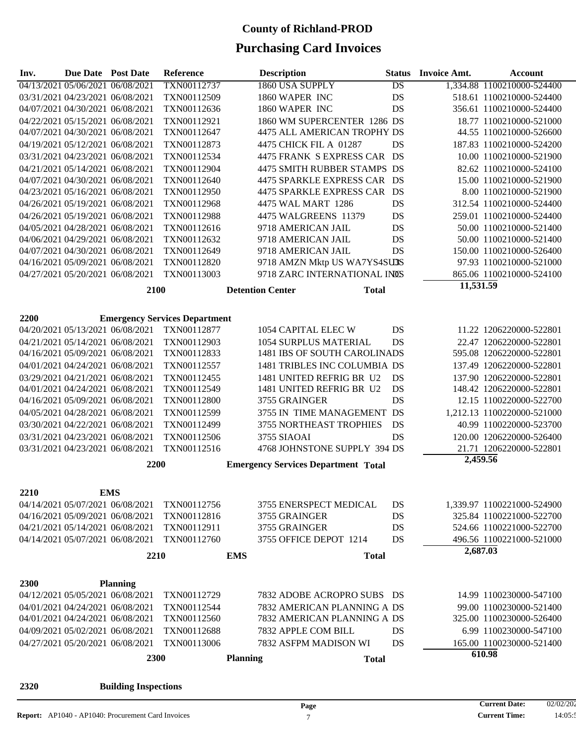| Inv. | <b>Due Date</b> Post Date        |                                  | Reference                            | <b>Description</b>                         | <b>Status</b>                         | <b>Invoice Amt.</b> | <b>Account</b>             |
|------|----------------------------------|----------------------------------|--------------------------------------|--------------------------------------------|---------------------------------------|---------------------|----------------------------|
|      | 04/13/2021 05/06/2021 06/08/2021 |                                  | TXN00112737                          | 1860 USA SUPPLY                            | DS                                    |                     | 1,334.88 1100210000-524400 |
|      |                                  | 03/31/2021 04/23/2021 06/08/2021 | TXN00112509                          | 1860 WAPER INC                             | DS                                    |                     | 518.61 1100210000-524400   |
|      |                                  | 04/07/2021 04/30/2021 06/08/2021 | TXN00112636                          | 1860 WAPER INC                             | DS                                    |                     | 356.61 1100210000-524400   |
|      | 04/22/2021 05/15/2021 06/08/2021 |                                  | TXN00112921                          |                                            | 1860 WM SUPERCENTER 1286 DS           |                     | 18.77 1100210000-521000    |
|      |                                  | 04/07/2021 04/30/2021 06/08/2021 | TXN00112647                          |                                            | 4475 ALL AMERICAN TROPHY DS           |                     | 44.55 1100210000-526600    |
|      |                                  | 04/19/2021 05/12/2021 06/08/2021 | TXN00112873                          | 4475 CHICK FIL A 01287                     | DS                                    |                     | 187.83 1100210000-524200   |
|      |                                  | 03/31/2021 04/23/2021 06/08/2021 | TXN00112534                          |                                            | 4475 FRANK S EXPRESS CAR DS           |                     | 10.00 1100210000-521900    |
|      |                                  | 04/21/2021 05/14/2021 06/08/2021 | TXN00112904                          |                                            | 4475 SMITH RUBBER STAMPS DS           |                     | 82.62 1100210000-524100    |
|      |                                  | 04/07/2021 04/30/2021 06/08/2021 | TXN00112640                          |                                            | 4475 SPARKLE EXPRESS CAR DS           |                     | 15.00 1100210000-521900    |
|      |                                  | 04/23/2021 05/16/2021 06/08/2021 | TXN00112950                          |                                            | 4475 SPARKLE EXPRESS CAR DS           |                     | 8.00 1100210000-521900     |
|      | 04/26/2021 05/19/2021 06/08/2021 |                                  | TXN00112968                          | 4475 WAL MART 1286                         | DS                                    |                     | 312.54 1100210000-524400   |
|      | 04/26/2021 05/19/2021 06/08/2021 |                                  | TXN00112988                          | 4475 WALGREENS 11379                       | DS                                    |                     | 259.01 1100210000-524400   |
|      | 04/05/2021 04/28/2021 06/08/2021 |                                  | TXN00112616                          | 9718 AMERICAN JAIL                         | DS                                    |                     | 50.00 1100210000-521400    |
|      |                                  | 04/06/2021 04/29/2021 06/08/2021 | TXN00112632                          | 9718 AMERICAN JAIL                         | DS                                    |                     | 50.00 1100210000-521400    |
|      |                                  | 04/07/2021 04/30/2021 06/08/2021 | TXN00112649                          | 9718 AMERICAN JAIL                         | DS                                    |                     | 150.00 1100210000-526400   |
|      |                                  | 04/16/2021 05/09/2021 06/08/2021 | TXN00112820                          |                                            | 9718 AMZN Mktp US WA7YS4SU3S          |                     | 97.93 1100210000-521000    |
|      |                                  | 04/27/2021 05/20/2021 06/08/2021 | TXN00113003                          |                                            | 9718 ZARC INTERNATIONAL INOS          |                     | 865.06 1100210000-524100   |
|      |                                  |                                  |                                      |                                            |                                       | 11,531.59           |                            |
|      |                                  | 2100                             |                                      | <b>Detention Center</b>                    | <b>Total</b>                          |                     |                            |
|      |                                  |                                  |                                      |                                            |                                       |                     |                            |
| 2200 |                                  |                                  | <b>Emergency Services Department</b> |                                            |                                       |                     |                            |
|      |                                  | 04/20/2021 05/13/2021 06/08/2021 | TXN00112877                          | 1054 CAPITAL ELEC W                        | DS                                    |                     | 11.22 1206220000-522801    |
|      |                                  | 04/21/2021 05/14/2021 06/08/2021 | TXN00112903                          |                                            | 1054 SURPLUS MATERIAL<br>DS           |                     | 22.47 1206220000-522801    |
|      |                                  | 04/16/2021 05/09/2021 06/08/2021 | TXN00112833                          |                                            | 1481 IBS OF SOUTH CAROLINADS          |                     | 595.08 1206220000-522801   |
|      |                                  | 04/01/2021 04/24/2021 06/08/2021 | TXN00112557                          |                                            | 1481 TRIBLES INC COLUMBIA DS          |                     | 137.49 1206220000-522801   |
|      |                                  | 03/29/2021 04/21/2021 06/08/2021 | TXN00112455                          |                                            | 1481 UNITED REFRIG BR U2<br>DS        |                     | 137.90 1206220000-522801   |
|      |                                  | 04/01/2021 04/24/2021 06/08/2021 | TXN00112549                          |                                            | <b>DS</b><br>1481 UNITED REFRIG BR U2 |                     | 148.42 1206220000-522801   |
|      |                                  | 04/16/2021 05/09/2021 06/08/2021 | TXN00112800                          | 3755 GRAINGER                              | DS                                    |                     | 12.15 1100220000-522700    |
|      | 04/05/2021 04/28/2021 06/08/2021 |                                  | TXN00112599                          |                                            | 3755 IN TIME MANAGEMENT DS            |                     | 1,212.13 1100220000-521000 |
|      | 03/30/2021 04/22/2021 06/08/2021 |                                  | TXN00112499                          |                                            | 3755 NORTHEAST TROPHIES<br>DS         |                     | 40.99 1100220000-523700    |
|      | 03/31/2021 04/23/2021 06/08/2021 |                                  | TXN00112506                          | <b>3755 SIAOAI</b>                         | DS                                    |                     | 120.00 1206220000-526400   |
|      | 03/31/2021 04/23/2021 06/08/2021 |                                  | TXN00112516                          |                                            | 4768 JOHNSTONE SUPPLY 394 DS          |                     | 21.71 1206220000-522801    |
|      |                                  | 2200                             |                                      | <b>Emergency Services Department Total</b> |                                       | 2,459.56            |                            |
|      |                                  |                                  |                                      |                                            |                                       |                     |                            |
|      |                                  |                                  |                                      |                                            |                                       |                     |                            |
| 2210 |                                  | <b>EMS</b>                       |                                      |                                            |                                       |                     |                            |
|      |                                  | 04/14/2021 05/07/2021 06/08/2021 | TXN00112756                          |                                            | 3755 ENERSPECT MEDICAL<br>DS          |                     | 1,339.97 1100221000-524900 |
|      |                                  | 04/16/2021 05/09/2021 06/08/2021 | TXN00112816                          | 3755 GRAINGER                              | DS                                    |                     | 325.84 1100221000-522700   |
|      |                                  | 04/21/2021 05/14/2021 06/08/2021 | TXN00112911                          | 3755 GRAINGER                              | DS                                    |                     | 524.66 1100221000-522700   |
|      | 04/14/2021 05/07/2021 06/08/2021 |                                  | TXN00112760                          | 3755 OFFICE DEPOT 1214                     | DS                                    |                     | 496.56 1100221000-521000   |
|      |                                  | 2210                             |                                      | <b>EMS</b>                                 | <b>Total</b>                          | 2,687.03            |                            |
|      |                                  |                                  |                                      |                                            |                                       |                     |                            |
| 2300 |                                  | <b>Planning</b>                  |                                      |                                            |                                       |                     |                            |
|      | 04/12/2021 05/05/2021 06/08/2021 |                                  | TXN00112729                          |                                            | 7832 ADOBE ACROPRO SUBS DS            |                     | 14.99 1100230000-547100    |
|      | 04/01/2021 04/24/2021 06/08/2021 |                                  | TXN00112544                          |                                            | 7832 AMERICAN PLANNING A DS           |                     | 99.00 1100230000-521400    |
|      | 04/01/2021 04/24/2021 06/08/2021 |                                  | TXN00112560                          |                                            | 7832 AMERICAN PLANNING A DS           |                     | 325.00 1100230000-526400   |
|      |                                  | 04/09/2021 05/02/2021 06/08/2021 | TXN00112688                          | 7832 APPLE COM BILL                        | DS                                    |                     | 6.99 1100230000-547100     |
|      |                                  | 04/27/2021 05/20/2021 06/08/2021 | TXN00113006                          | 7832 ASFPM MADISON WI                      | DS                                    |                     | 165.00 1100230000-521400   |
|      |                                  |                                  |                                      |                                            |                                       |                     | 610.98                     |
|      |                                  | 2300                             |                                      | <b>Planning</b>                            | <b>Total</b>                          |                     |                            |
|      |                                  |                                  |                                      |                                            |                                       |                     |                            |
| 2320 |                                  | <b>Building Inspections</b>      |                                      |                                            |                                       |                     |                            |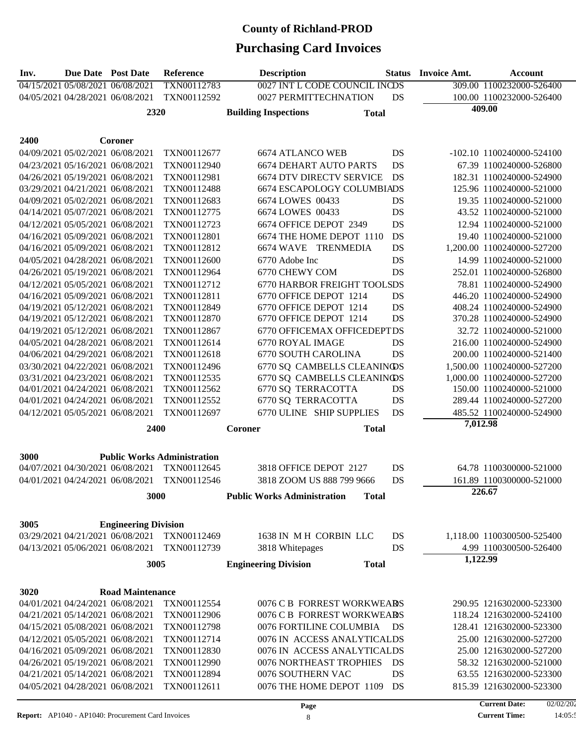| Inv. | Due Date Post Date                                                   |                                  | <b>Reference</b>                   | <b>Description</b>                                                   | <b>Status</b> | <b>Invoice Amt.</b> | <b>Account</b>             |
|------|----------------------------------------------------------------------|----------------------------------|------------------------------------|----------------------------------------------------------------------|---------------|---------------------|----------------------------|
|      | 04/15/2021 05/08/2021 06/08/2021                                     |                                  | TXN00112783                        | 0027 INT L CODE COUNCIL INCDS                                        |               |                     | 309.00 1100232000-526400   |
|      | 04/05/2021 04/28/2021 06/08/2021                                     |                                  | TXN00112592                        | 0027 PERMITTECHNATION                                                | DS            |                     | 100.00 1100232000-526400   |
|      |                                                                      | 2320                             |                                    | <b>Building Inspections</b><br><b>Total</b>                          |               |                     | 409.00                     |
|      |                                                                      |                                  |                                    |                                                                      |               |                     |                            |
| 2400 |                                                                      | Coroner                          |                                    |                                                                      |               |                     |                            |
|      | 04/09/2021 05/02/2021 06/08/2021                                     |                                  | TXN00112677                        | <b>6674 ATLANCO WEB</b>                                              | DS            |                     | -102.10 1100240000-524100  |
|      | 04/23/2021 05/16/2021 06/08/2021                                     |                                  | TXN00112940                        | <b>6674 DEHART AUTO PARTS</b>                                        | DS            |                     | 67.39 1100240000-526800    |
|      |                                                                      |                                  |                                    |                                                                      |               |                     | 182.31 1100240000-524900   |
|      | 04/26/2021 05/19/2021 06/08/2021<br>03/29/2021 04/21/2021 06/08/2021 |                                  | TXN00112981<br>TXN00112488         | <b>6674 DTV DIRECTV SERVICE</b><br><b>6674 ESCAPOLOGY COLUMBIADS</b> | DS            |                     | 125.96 1100240000-521000   |
|      |                                                                      |                                  |                                    |                                                                      |               |                     |                            |
|      | 04/09/2021 05/02/2021 06/08/2021                                     |                                  | TXN00112683                        | 6674 LOWES 00433                                                     | DS            |                     | 19.35 1100240000-521000    |
|      | 04/14/2021 05/07/2021 06/08/2021                                     |                                  | TXN00112775                        | 6674 LOWES 00433                                                     | DS            |                     | 43.52 1100240000-521000    |
|      | 04/12/2021 05/05/2021 06/08/2021                                     |                                  | TXN00112723                        | 6674 OFFICE DEPOT 2349                                               | DS            |                     | 12.94 1100240000-521000    |
|      | 04/16/2021 05/09/2021 06/08/2021                                     |                                  | TXN00112801                        | 6674 THE HOME DEPOT 1110                                             | DS            |                     | 19.40 1100240000-521000    |
|      | 04/16/2021 05/09/2021 06/08/2021                                     |                                  | TXN00112812                        | 6674 WAVE TRENMEDIA                                                  | DS            |                     | 1,200.00 1100240000-527200 |
|      | 04/05/2021 04/28/2021 06/08/2021                                     |                                  | TXN00112600                        | 6770 Adobe Inc                                                       | DS            |                     | 14.99 1100240000-521000    |
|      | 04/26/2021 05/19/2021 06/08/2021                                     |                                  | TXN00112964                        | 6770 CHEWY COM                                                       | DS            |                     | 252.01 1100240000-526800   |
|      | 04/12/2021 05/05/2021 06/08/2021                                     |                                  | TXN00112712                        | <b>6770 HARBOR FREIGHT TOOLSDS</b>                                   |               |                     | 78.81 1100240000-524900    |
|      | 04/16/2021 05/09/2021 06/08/2021                                     |                                  | TXN00112811                        | 6770 OFFICE DEPOT 1214                                               | DS            |                     | 446.20 1100240000-524900   |
|      | 04/19/2021 05/12/2021 06/08/2021                                     |                                  | TXN00112849                        | 6770 OFFICE DEPOT 1214                                               | DS            |                     | 408.24 1100240000-524900   |
|      | 04/19/2021 05/12/2021 06/08/2021                                     |                                  | TXN00112870                        | 6770 OFFICE DEPOT 1214                                               | DS            |                     | 370.28 1100240000-524900   |
|      | 04/19/2021 05/12/2021 06/08/2021                                     |                                  | TXN00112867                        | 6770 OFFICEMAX OFFICEDEPTDS                                          |               |                     | 32.72 1100240000-521000    |
|      | 04/05/2021 04/28/2021 06/08/2021                                     |                                  | TXN00112614                        | 6770 ROYAL IMAGE                                                     | DS            |                     | 216.00 1100240000-524900   |
|      | 04/06/2021 04/29/2021 06/08/2021                                     |                                  | TXN00112618                        | 6770 SOUTH CAROLINA                                                  | DS            |                     | 200.00 1100240000-521400   |
|      | 03/30/2021 04/22/2021 06/08/2021                                     |                                  | TXN00112496                        | 6770 SQ CAMBELLS CLEANINOS                                           |               |                     | 1,500.00 1100240000-527200 |
|      | 03/31/2021 04/23/2021 06/08/2021                                     |                                  | TXN00112535                        | 6770 SQ CAMBELLS CLEANINOS                                           |               |                     | 1,000.00 1100240000-527200 |
|      | 04/01/2021 04/24/2021 06/08/2021                                     |                                  | TXN00112562                        | 6770 SQ TERRACOTTA                                                   | DS            |                     | 150.00 1100240000-521000   |
|      | 04/01/2021 04/24/2021 06/08/2021                                     |                                  | TXN00112552                        | 6770 SQ TERRACOTTA                                                   | DS            |                     | 289.44 1100240000-527200   |
|      | 04/12/2021 05/05/2021 06/08/2021                                     |                                  | TXN00112697                        | 6770 ULINE SHIP SUPPLIES                                             | DS            |                     | 485.52 1100240000-524900   |
|      |                                                                      | 2400                             |                                    | <b>Total</b><br>Coroner                                              |               | 7,012.98            |                            |
|      |                                                                      |                                  |                                    |                                                                      |               |                     |                            |
| 3000 |                                                                      |                                  | <b>Public Works Administration</b> |                                                                      |               |                     |                            |
|      | 04/07/2021 04/30/2021 06/08/2021                                     |                                  | TXN00112645                        | 3818 OFFICE DEPOT 2127                                               | DS            |                     | 64.78 1100300000-521000    |
|      | 04/01/2021 04/24/2021 06/08/2021                                     |                                  | TXN00112546                        | 3818 ZOOM US 888 799 9666                                            | DS            |                     | 161.89 1100300000-521000   |
|      |                                                                      |                                  |                                    |                                                                      |               |                     | 226.67                     |
|      |                                                                      | 3000                             |                                    | <b>Public Works Administration</b><br><b>Total</b>                   |               |                     |                            |
|      |                                                                      |                                  |                                    |                                                                      |               |                     |                            |
| 3005 |                                                                      | <b>Engineering Division</b>      |                                    |                                                                      |               |                     |                            |
|      |                                                                      | 03/29/2021 04/21/2021 06/08/2021 | TXN00112469                        | 1638 IN MH CORBIN LLC                                                | DS            |                     | 1,118.00 1100300500-525400 |
|      | 04/13/2021 05/06/2021 06/08/2021                                     |                                  | TXN00112739                        | 3818 Whitepages                                                      | DS            |                     | 4.99 1100300500-526400     |
|      |                                                                      | 3005                             |                                    | <b>Engineering Division</b><br><b>Total</b>                          |               | 1,122.99            |                            |
|      |                                                                      |                                  |                                    |                                                                      |               |                     |                            |
| 3020 |                                                                      | <b>Road Maintenance</b>          |                                    |                                                                      |               |                     |                            |
|      | 04/01/2021 04/24/2021 06/08/2021                                     |                                  | TXN00112554                        | 0076 C B FORREST WORKWEARS                                           |               |                     | 290.95 1216302000-523300   |
|      | 04/21/2021 05/14/2021 06/08/2021                                     |                                  | TXN00112906                        | 0076 C B FORREST WORKWEARS                                           |               |                     | 118.24 1216302000-524100   |
|      | 04/15/2021 05/08/2021 06/08/2021                                     |                                  | TXN00112798                        | 0076 FORTILINE COLUMBIA                                              | DS            |                     | 128.41 1216302000-523300   |
|      | 04/12/2021 05/05/2021 06/08/2021                                     |                                  | TXN00112714                        | 0076 IN ACCESS ANALYTICALDS                                          |               |                     | 25.00 1216302000-527200    |
|      | 04/16/2021 05/09/2021 06/08/2021                                     |                                  | TXN00112830                        | 0076 IN ACCESS ANALYTICALDS                                          |               |                     | 25.00 1216302000-527200    |
|      | 04/26/2021 05/19/2021 06/08/2021                                     |                                  | TXN00112990                        | 0076 NORTHEAST TROPHIES                                              | DS            |                     | 58.32 1216302000-521000    |
|      | 04/21/2021 05/14/2021 06/08/2021                                     |                                  | TXN00112894                        | 0076 SOUTHERN VAC                                                    | DS            |                     | 63.55 1216302000-523300    |
|      | 04/05/2021 04/28/2021 06/08/2021                                     |                                  | TXN00112611                        | 0076 THE HOME DEPOT 1109                                             | DS            |                     | 815.39 1216302000-523300   |
|      |                                                                      |                                  |                                    |                                                                      |               |                     |                            |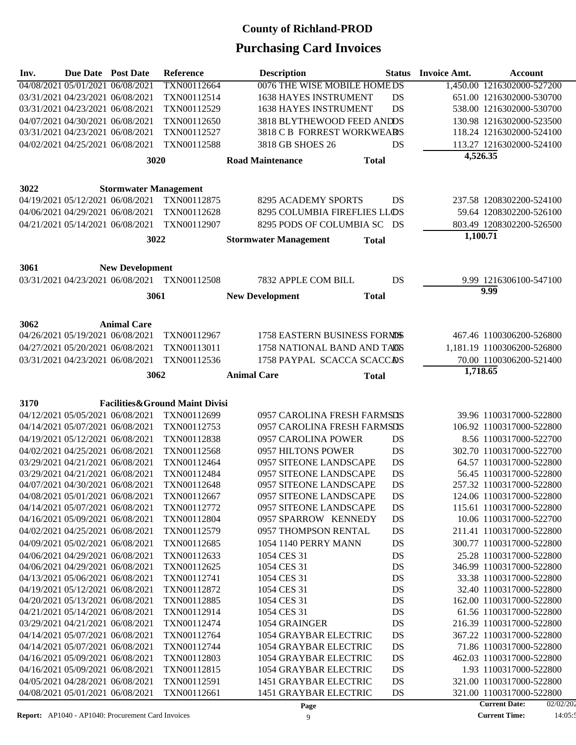# **Purchasing Card Invoices**

| Inv. | Due Date Post Date                                                   |                                  | Reference                                    | <b>Description</b>                                         |              | <b>Status</b> Invoice Amt. | Account                                             |
|------|----------------------------------------------------------------------|----------------------------------|----------------------------------------------|------------------------------------------------------------|--------------|----------------------------|-----------------------------------------------------|
|      | 04/08/2021 05/01/2021 06/08/2021                                     |                                  | TXN00112664                                  | 0076 THE WISE MOBILE HOME DS                               |              |                            | 1,450.00 1216302000-527200                          |
|      | 03/31/2021 04/23/2021 06/08/2021                                     |                                  | TXN00112514                                  | <b>1638 HAYES INSTRUMENT</b>                               | DS           |                            | 651.00 1216302000-530700                            |
|      | 03/31/2021 04/23/2021 06/08/2021                                     |                                  | TXN00112529                                  | 1638 HAYES INSTRUMENT                                      | DS           |                            | 538.00 1216302000-530700                            |
|      | 04/07/2021 04/30/2021 06/08/2021                                     |                                  | TXN00112650                                  | 3818 BLYTHEWOOD FEED ANDDS                                 |              |                            | 130.98 1216302000-523500                            |
|      | 03/31/2021 04/23/2021 06/08/2021                                     |                                  | TXN00112527                                  | 3818 C B FORREST WORKWEARS                                 |              |                            | 118.24 1216302000-524100                            |
|      | 04/02/2021 04/25/2021 06/08/2021                                     |                                  | TXN00112588                                  | 3818 GB SHOES 26                                           | DS           |                            | 113.27 1216302000-524100                            |
|      |                                                                      | 3020                             |                                              | <b>Road Maintenance</b>                                    | <b>Total</b> | 4,526.35                   |                                                     |
|      |                                                                      |                                  |                                              |                                                            |              |                            |                                                     |
| 3022 |                                                                      | <b>Stormwater Management</b>     |                                              |                                                            |              |                            |                                                     |
|      |                                                                      | 04/19/2021 05/12/2021 06/08/2021 | TXN00112875                                  | 8295 ACADEMY SPORTS                                        | DS           |                            | 237.58 1208302200-524100                            |
|      | 04/06/2021 04/29/2021 06/08/2021                                     |                                  | TXN00112628                                  | 8295 COLUMBIA FIREFLIES LLOS                               |              |                            | 59.64 1208302200-526100                             |
|      | 04/21/2021 05/14/2021 06/08/2021                                     |                                  | TXN00112907                                  | 8295 PODS OF COLUMBIA SC DS                                |              |                            | 803.49 1208302200-526500                            |
|      |                                                                      | 3022                             |                                              | <b>Stormwater Management</b>                               | <b>Total</b> | 1,100.71                   |                                                     |
|      |                                                                      |                                  |                                              |                                                            |              |                            |                                                     |
| 3061 |                                                                      | <b>New Development</b>           |                                              |                                                            |              |                            |                                                     |
|      |                                                                      |                                  | 03/31/2021 04/23/2021 06/08/2021 TXN00112508 | 7832 APPLE COM BILL                                        | DS           |                            | 9.99 1216306100-547100<br>9.99                      |
|      |                                                                      | 3061                             |                                              | <b>New Development</b>                                     | <b>Total</b> |                            |                                                     |
|      |                                                                      |                                  |                                              |                                                            |              |                            |                                                     |
| 3062 |                                                                      | <b>Animal Care</b>               |                                              |                                                            |              |                            |                                                     |
|      | 04/26/2021 05/19/2021 06/08/2021                                     |                                  | TXN00112967                                  | 1758 EASTERN BUSINESS FORMOS                               |              |                            | 467.46 1100306200-526800                            |
|      | 04/27/2021 05/20/2021 06/08/2021                                     |                                  | TXN00113011                                  | 1758 NATIONAL BAND AND TAOS                                |              |                            | 1,181.19 1100306200-526800                          |
|      | 03/31/2021 04/23/2021 06/08/2021                                     |                                  | TXN00112536                                  | 1758 PAYPAL SCACCA SCACCAS                                 |              |                            | 70.00 1100306200-521400                             |
|      |                                                                      | 3062                             |                                              | <b>Animal Care</b>                                         | <b>Total</b> | 1,718.65                   |                                                     |
|      |                                                                      |                                  |                                              |                                                            |              |                            |                                                     |
| 3170 |                                                                      |                                  | Facilities&Ground Maint Divisi               |                                                            |              |                            |                                                     |
|      | 04/12/2021 05/05/2021 06/08/2021<br>04/14/2021 05/07/2021 06/08/2021 |                                  | TXN00112699<br>TXN00112753                   | 0957 CAROLINA FRESH FARMSDS<br>0957 CAROLINA FRESH FARMSDS |              |                            | 39.96 1100317000-522800<br>106.92 1100317000-522800 |
|      | 04/19/2021 05/12/2021 06/08/2021                                     |                                  | TXN00112838                                  | 0957 CAROLINA POWER                                        | DS           |                            | 8.56 1100317000-522700                              |
|      | 04/02/2021 04/25/2021 06/08/2021                                     |                                  | TXN00112568                                  | 0957 HILTONS POWER                                         | DS           |                            | 302.70 1100317000-522700                            |
|      | 03/29/2021 04/21/2021 06/08/2021                                     |                                  | TXN00112464                                  | 0957 SITEONE LANDSCAPE                                     | DS           |                            | 64.57 1100317000-522800                             |
|      | 03/29/2021 04/21/2021 06/08/2021                                     |                                  | TXN00112484                                  | 0957 SITEONE LANDSCAPE                                     | DS           |                            | 56.45 1100317000-522800                             |
|      | 04/07/2021 04/30/2021 06/08/2021                                     |                                  | TXN00112648                                  | 0957 SITEONE LANDSCAPE                                     | DS           |                            | 257.32 1100317000-522800                            |
|      | 04/08/2021 05/01/2021 06/08/2021                                     |                                  | TXN00112667                                  | 0957 SITEONE LANDSCAPE                                     | DS           |                            | 124.06 1100317000-522800                            |
|      | 04/14/2021 05/07/2021 06/08/2021                                     |                                  | TXN00112772                                  | 0957 SITEONE LANDSCAPE                                     | DS           |                            | 115.61 1100317000-522800                            |
|      | 04/16/2021 05/09/2021 06/08/2021                                     |                                  | TXN00112804                                  | 0957 SPARROW KENNEDY                                       | DS           |                            | 10.06 1100317000-522700                             |
|      | 04/02/2021 04/25/2021 06/08/2021                                     |                                  | TXN00112579                                  | 0957 THOMPSON RENTAL                                       | DS           |                            | 211.41 1100317000-522800                            |
|      | 04/09/2021 05/02/2021 06/08/2021                                     |                                  | TXN00112685                                  | 1054 1140 PERRY MANN                                       | DS           |                            | 300.77 1100317000-522800                            |
|      | 04/06/2021 04/29/2021 06/08/2021                                     |                                  | TXN00112633                                  | 1054 CES 31                                                | DS           |                            | 25.28 1100317000-522800                             |
|      | 04/06/2021 04/29/2021 06/08/2021                                     |                                  | TXN00112625                                  | 1054 CES 31                                                | DS           |                            | 346.99 1100317000-522800                            |
|      | 04/13/2021 05/06/2021 06/08/2021                                     |                                  | TXN00112741                                  | 1054 CES 31                                                | DS           |                            | 33.38 1100317000-522800                             |
|      | 04/19/2021 05/12/2021 06/08/2021                                     |                                  | TXN00112872                                  | 1054 CES 31                                                | DS           |                            | 32.40 1100317000-522800                             |
|      | 04/20/2021 05/13/2021 06/08/2021                                     |                                  | TXN00112885                                  | 1054 CES 31                                                | DS           |                            | 162.00 1100317000-522800                            |
|      | 04/21/2021 05/14/2021 06/08/2021                                     |                                  | TXN00112914                                  | 1054 CES 31                                                | DS           |                            | 61.56 1100317000-522800                             |
|      | 03/29/2021 04/21/2021 06/08/2021                                     |                                  | TXN00112474                                  | 1054 GRAINGER                                              | DS           |                            | 216.39 1100317000-522800                            |
|      | 04/14/2021 05/07/2021 06/08/2021                                     |                                  | TXN00112764                                  | 1054 GRAYBAR ELECTRIC                                      | DS           |                            | 367.22 1100317000-522800                            |
|      | 04/14/2021 05/07/2021 06/08/2021                                     |                                  | TXN00112744                                  | 1054 GRAYBAR ELECTRIC                                      | DS           |                            | 71.86 1100317000-522800                             |
|      | 04/16/2021 05/09/2021 06/08/2021                                     |                                  | TXN00112803                                  | 1054 GRAYBAR ELECTRIC                                      | DS           |                            | 462.03 1100317000-522800                            |
|      | 04/16/2021 05/09/2021 06/08/2021<br>04/05/2021 04/28/2021 06/08/2021 |                                  | TXN00112815                                  | 1054 GRAYBAR ELECTRIC                                      | DS           |                            | 1.93 1100317000-522800<br>321.00 1100317000-522800  |
|      | 04/08/2021 05/01/2021 06/08/2021                                     |                                  | TXN00112591<br>TXN00112661                   | 1451 GRAYBAR ELECTRIC<br>1451 GRAYBAR ELECTRIC             | DS<br>DS     |                            | 321.00 1100317000-522800                            |
|      |                                                                      |                                  |                                              |                                                            |              |                            |                                                     |

**Report:** AP1040 - AP1040: Procurement Card Invoices 9

<sup>02/02/202</sup>  $14:05:3$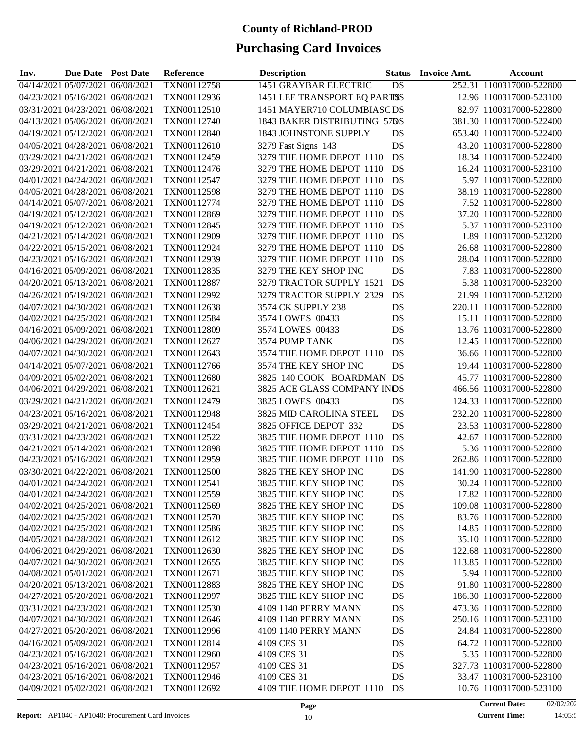# **Purchasing Card Invoices**

| Inv. | Due Date Post Date               |                                  | <b>Reference</b> | <b>Description</b>            | <b>Status</b> | <b>Invoice Amt.</b> | Account                  |
|------|----------------------------------|----------------------------------|------------------|-------------------------------|---------------|---------------------|--------------------------|
|      | 04/14/2021 05/07/2021 06/08/2021 |                                  | TXN00112758      | <b>1451 GRAYBAR ELECTRIC</b>  | DS            |                     | 252.31 1100317000-522800 |
|      | 04/23/2021 05/16/2021 06/08/2021 |                                  | TXN00112936      | 1451 LEE TRANSPORT EQ PARTISS |               |                     | 12.96 1100317000-523100  |
|      | 03/31/2021 04/23/2021 06/08/2021 |                                  | TXN00112510      | 1451 MAYER710 COLUMBIASCDS    |               |                     | 82.97 1100317000-522800  |
|      | 04/13/2021 05/06/2021 06/08/2021 |                                  | TXN00112740      | 1843 BAKER DISTRIBUTING 57DS  |               |                     | 381.30 1100317000-522400 |
|      | 04/19/2021 05/12/2021 06/08/2021 |                                  | TXN00112840      | 1843 JOHNSTONE SUPPLY         | DS            |                     | 653.40 1100317000-522400 |
|      | 04/05/2021 04/28/2021 06/08/2021 |                                  | TXN00112610      | 3279 Fast Signs 143           | DS            |                     | 43.20 1100317000-522800  |
|      | 03/29/2021 04/21/2021 06/08/2021 |                                  | TXN00112459      | 3279 THE HOME DEPOT 1110      | DS            |                     | 18.34 1100317000-522400  |
|      | 03/29/2021 04/21/2021 06/08/2021 |                                  | TXN00112476      | 3279 THE HOME DEPOT 1110      | DS            |                     | 16.24 1100317000-523100  |
|      | 04/01/2021 04/24/2021 06/08/2021 |                                  | TXN00112547      | 3279 THE HOME DEPOT 1110      | DS            |                     | 5.97 1100317000-522800   |
|      | 04/05/2021 04/28/2021 06/08/2021 |                                  | TXN00112598      | 3279 THE HOME DEPOT 1110      | DS            |                     | 38.19 1100317000-522800  |
|      | 04/14/2021 05/07/2021 06/08/2021 |                                  | TXN00112774      | 3279 THE HOME DEPOT 1110      | DS            |                     | 7.52 1100317000-522800   |
|      | 04/19/2021 05/12/2021 06/08/2021 |                                  | TXN00112869      | 3279 THE HOME DEPOT 1110      | DS            |                     | 37.20 1100317000-522800  |
|      | 04/19/2021 05/12/2021 06/08/2021 |                                  | TXN00112845      | 3279 THE HOME DEPOT 1110      | DS            |                     | 5.37 1100317000-523100   |
|      | 04/21/2021 05/14/2021 06/08/2021 |                                  | TXN00112909      | 3279 THE HOME DEPOT 1110      | DS            |                     | 1.89 1100317000-523200   |
|      | 04/22/2021 05/15/2021 06/08/2021 |                                  | TXN00112924      | 3279 THE HOME DEPOT 1110      | DS            |                     | 26.68 1100317000-522800  |
|      | 04/23/2021 05/16/2021 06/08/2021 |                                  | TXN00112939      | 3279 THE HOME DEPOT 1110      | DS            |                     | 28.04 1100317000-522800  |
|      | 04/16/2021 05/09/2021 06/08/2021 |                                  | TXN00112835      | 3279 THE KEY SHOP INC         | DS            |                     | 7.83 1100317000-522800   |
|      | 04/20/2021 05/13/2021 06/08/2021 |                                  | TXN00112887      | 3279 TRACTOR SUPPLY 1521      | DS            |                     | 5.38 1100317000-523200   |
|      | 04/26/2021 05/19/2021 06/08/2021 |                                  | TXN00112992      | 3279 TRACTOR SUPPLY 2329      | DS            |                     | 21.99 1100317000-523200  |
|      | 04/07/2021 04/30/2021 06/08/2021 |                                  | TXN00112638      | 3574 CK SUPPLY 238            | DS            |                     | 220.11 1100317000-522800 |
|      | 04/02/2021 04/25/2021 06/08/2021 |                                  | TXN00112584      | 3574 LOWES 00433              | DS            |                     | 15.11 1100317000-522800  |
|      | 04/16/2021 05/09/2021 06/08/2021 |                                  | TXN00112809      | 3574 LOWES 00433              | DS            |                     | 13.76 1100317000-522800  |
|      | 04/06/2021 04/29/2021 06/08/2021 |                                  | TXN00112627      | 3574 PUMP TANK                | DS            |                     | 12.45 1100317000-522800  |
|      | 04/07/2021 04/30/2021 06/08/2021 |                                  | TXN00112643      | 3574 THE HOME DEPOT 1110      | DS            |                     | 36.66 1100317000-522800  |
|      | 04/14/2021 05/07/2021 06/08/2021 |                                  | TXN00112766      | 3574 THE KEY SHOP INC         | DS            |                     | 19.44 1100317000-522800  |
|      | 04/09/2021 05/02/2021 06/08/2021 |                                  | TXN00112680      | 3825 140 COOK BOARDMAN DS     |               |                     | 45.77 1100317000-522800  |
|      | 04/06/2021 04/29/2021 06/08/2021 |                                  | TXN00112621      | 3825 ACE GLASS COMPANY INDS   |               |                     | 466.56 1100317000-522800 |
|      | 03/29/2021 04/21/2021 06/08/2021 |                                  | TXN00112479      | 3825 LOWES 00433              | DS            |                     | 124.33 1100317000-522800 |
|      | 04/23/2021 05/16/2021 06/08/2021 |                                  | TXN00112948      | 3825 MID CAROLINA STEEL       | DS            |                     | 232.20 1100317000-522800 |
|      | 03/29/2021 04/21/2021 06/08/2021 |                                  | TXN00112454      | 3825 OFFICE DEPOT 332         | DS            |                     | 23.53 1100317000-522800  |
|      | 03/31/2021 04/23/2021 06/08/2021 |                                  | TXN00112522      | 3825 THE HOME DEPOT 1110      | DS            |                     | 42.67 1100317000-522800  |
|      | 04/21/2021 05/14/2021 06/08/2021 |                                  | TXN00112898      | 3825 THE HOME DEPOT 1110      | DS            |                     | 5.36 1100317000-522800   |
|      | 04/23/2021 05/16/2021 06/08/2021 |                                  | TXN00112959      | 3825 THE HOME DEPOT 1110      | DS            |                     | 262.86 1100317000-522800 |
|      | 03/30/2021 04/22/2021 06/08/2021 |                                  | TXN00112500      | 3825 THE KEY SHOP INC         | DS            |                     | 141.90 1100317000-522800 |
|      | 04/01/2021 04/24/2021 06/08/2021 |                                  | TXN00112541      | 3825 THE KEY SHOP INC         | DS            |                     | 30.24 1100317000-522800  |
|      | 04/01/2021 04/24/2021 06/08/2021 |                                  | TXN00112559      | 3825 THE KEY SHOP INC         | DS            |                     | 17.82 1100317000-522800  |
|      | 04/02/2021 04/25/2021 06/08/2021 |                                  | TXN00112569      | 3825 THE KEY SHOP INC         | DS            |                     | 109.08 1100317000-522800 |
|      |                                  | 04/02/2021 04/25/2021 06/08/2021 | TXN00112570      | 3825 THE KEY SHOP INC         | DS            |                     | 83.76 1100317000-522800  |
|      |                                  | 04/02/2021 04/25/2021 06/08/2021 | TXN00112586      | 3825 THE KEY SHOP INC         | DS            |                     | 14.85 1100317000-522800  |
|      |                                  | 04/05/2021 04/28/2021 06/08/2021 | TXN00112612      | 3825 THE KEY SHOP INC         | DS            |                     | 35.10 1100317000-522800  |
|      |                                  | 04/06/2021 04/29/2021 06/08/2021 | TXN00112630      | 3825 THE KEY SHOP INC         | DS            |                     | 122.68 1100317000-522800 |
|      |                                  | 04/07/2021 04/30/2021 06/08/2021 | TXN00112655      | 3825 THE KEY SHOP INC         | DS            |                     | 113.85 1100317000-522800 |
|      |                                  | 04/08/2021 05/01/2021 06/08/2021 | TXN00112671      | 3825 THE KEY SHOP INC         | DS            |                     | 5.94 1100317000-522800   |
|      |                                  | 04/20/2021 05/13/2021 06/08/2021 | TXN00112883      | 3825 THE KEY SHOP INC         | DS            |                     | 91.80 1100317000-522800  |
|      |                                  | 04/27/2021 05/20/2021 06/08/2021 | TXN00112997      | 3825 THE KEY SHOP INC         | DS            |                     | 186.30 1100317000-522800 |
|      |                                  | 03/31/2021 04/23/2021 06/08/2021 | TXN00112530      | 4109 1140 PERRY MANN          | DS            |                     | 473.36 1100317000-522800 |
|      |                                  | 04/07/2021 04/30/2021 06/08/2021 | TXN00112646      | 4109 1140 PERRY MANN          | DS            |                     | 250.16 1100317000-523100 |
|      |                                  | 04/27/2021 05/20/2021 06/08/2021 | TXN00112996      | 4109 1140 PERRY MANN          | DS            |                     | 24.84 1100317000-522800  |
|      | 04/16/2021 05/09/2021 06/08/2021 |                                  | TXN00112814      | 4109 CES 31                   | DS            |                     | 64.72 1100317000-522800  |
|      | 04/23/2021 05/16/2021 06/08/2021 |                                  | TXN00112960      | 4109 CES 31                   | DS            |                     | 5.35 1100317000-522800   |
|      | 04/23/2021 05/16/2021 06/08/2021 |                                  | TXN00112957      | 4109 CES 31                   | DS            |                     | 327.73 1100317000-522800 |
|      | 04/23/2021 05/16/2021 06/08/2021 |                                  | TXN00112946      | 4109 CES 31                   | DS            |                     | 33.47 1100317000-523100  |
|      |                                  | 04/09/2021 05/02/2021 06/08/2021 | TXN00112692      | 4109 THE HOME DEPOT 1110      | DS            |                     | 10.76 1100317000-523100  |

**Report:** AP1040 - AP1040: Procurement Card Invoices 10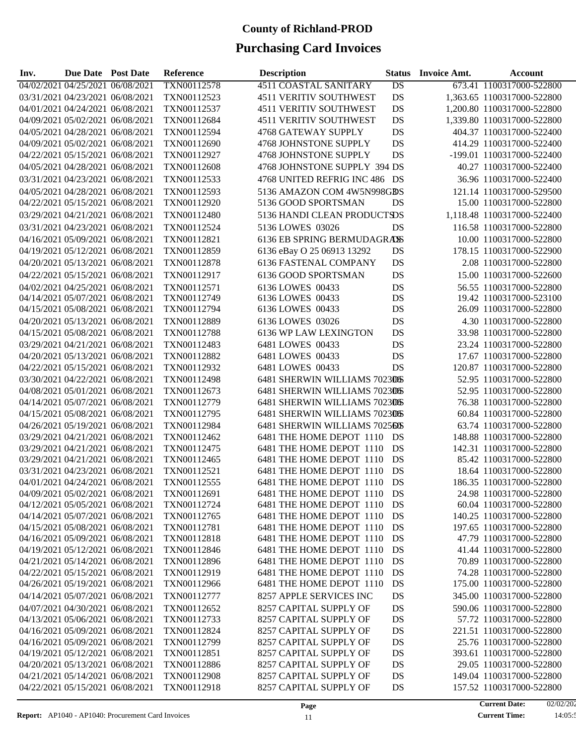| Inv. | <b>Due Date Post Date</b>        |                                  | Reference   | <b>Description</b>            | <b>Status</b>   | <b>Invoice Amt.</b> | <b>Account</b>             |
|------|----------------------------------|----------------------------------|-------------|-------------------------------|-----------------|---------------------|----------------------------|
|      | 04/02/2021 04/25/2021 06/08/2021 |                                  | TXN00112578 | <b>4511 COASTAL SANITARY</b>  | $\overline{DS}$ |                     | 673.41 1100317000-522800   |
|      | 03/31/2021 04/23/2021 06/08/2021 |                                  | TXN00112523 | <b>4511 VERITIV SOUTHWEST</b> | DS              |                     | 1,363.65 1100317000-522800 |
|      | 04/01/2021 04/24/2021 06/08/2021 |                                  | TXN00112537 | <b>4511 VERITIV SOUTHWEST</b> | DS              |                     | 1,200.80 1100317000-522800 |
|      | 04/09/2021 05/02/2021 06/08/2021 |                                  | TXN00112684 | <b>4511 VERITIV SOUTHWEST</b> | DS              |                     | 1,339.80 1100317000-522800 |
|      | 04/05/2021 04/28/2021 06/08/2021 |                                  | TXN00112594 | 4768 GATEWAY SUPPLY           | <b>DS</b>       |                     | 404.37 1100317000-522400   |
|      | 04/09/2021 05/02/2021 06/08/2021 |                                  | TXN00112690 | 4768 JOHNSTONE SUPPLY         | DS              |                     | 414.29 1100317000-522400   |
|      | 04/22/2021 05/15/2021 06/08/2021 |                                  | TXN00112927 | 4768 JOHNSTONE SUPPLY         | DS              |                     | -199.01 1100317000-522400  |
|      | 04/05/2021 04/28/2021 06/08/2021 |                                  | TXN00112608 | 4768 JOHNSTONE SUPPLY 394 DS  |                 |                     | 40.27 1100317000-522400    |
|      | 03/31/2021 04/23/2021 06/08/2021 |                                  | TXN00112533 | 4768 UNITED REFRIG INC 486 DS |                 |                     | 36.96 1100317000-522400    |
|      | 04/05/2021 04/28/2021 06/08/2021 |                                  | TXN00112593 | 5136 AMAZON COM 4W5N998GBS    |                 |                     | 121.14 1100317000-529500   |
|      | 04/22/2021 05/15/2021 06/08/2021 |                                  | TXN00112920 | 5136 GOOD SPORTSMAN           | DS              |                     | 15.00 1100317000-522800    |
|      | 03/29/2021 04/21/2021 06/08/2021 |                                  | TXN00112480 | 5136 HANDI CLEAN PRODUCTSDS   |                 |                     | 1,118.48 1100317000-522400 |
|      | 03/31/2021 04/23/2021 06/08/2021 |                                  | TXN00112524 | 5136 LOWES 03026              | DS              |                     | 116.58 1100317000-522800   |
|      | 04/16/2021 05/09/2021 06/08/2021 |                                  | TXN00112821 | 6136 EB SPRING BERMUDAGRASS   |                 |                     | 10.00 1100317000-522800    |
|      | 04/19/2021 05/12/2021 06/08/2021 |                                  | TXN00112859 | 6136 eBay O 25 06913 13292    | DS              |                     | 178.15 1100317000-522900   |
|      | 04/20/2021 05/13/2021 06/08/2021 |                                  | TXN00112878 | <b>6136 FASTENAL COMPANY</b>  | DS              |                     | 2.08 1100317000-522800     |
|      | 04/22/2021 05/15/2021 06/08/2021 |                                  | TXN00112917 | 6136 GOOD SPORTSMAN           | DS              |                     | 15.00 1100317000-522600    |
|      | 04/02/2021 04/25/2021 06/08/2021 |                                  | TXN00112571 | 6136 LOWES 00433              | DS              |                     | 56.55 1100317000-522800    |
|      | 04/14/2021 05/07/2021 06/08/2021 |                                  | TXN00112749 | 6136 LOWES 00433              | DS              |                     | 19.42 1100317000-523100    |
|      | 04/15/2021 05/08/2021 06/08/2021 |                                  | TXN00112794 | 6136 LOWES 00433              | DS              |                     | 26.09 1100317000-522800    |
|      | 04/20/2021 05/13/2021 06/08/2021 |                                  | TXN00112889 | 6136 LOWES 03026              | DS              |                     | 4.30 1100317000-522800     |
|      | 04/15/2021 05/08/2021 06/08/2021 |                                  | TXN00112788 | 6136 WP LAW LEXINGTON         | DS              |                     | 33.98 1100317000-522800    |
|      | 03/29/2021 04/21/2021 06/08/2021 |                                  | TXN00112483 | 6481 LOWES 00433              | DS              |                     | 23.24 1100317000-522800    |
|      | 04/20/2021 05/13/2021 06/08/2021 |                                  | TXN00112882 | 6481 LOWES 00433              | DS              |                     | 17.67 1100317000-522800    |
|      | 04/22/2021 05/15/2021 06/08/2021 |                                  | TXN00112932 | 6481 LOWES 00433              | DS              |                     | 120.87 1100317000-522800   |
|      | 03/30/2021 04/22/2021 06/08/2021 |                                  | TXN00112498 | 6481 SHERWIN WILLIAMS 7023DS  |                 |                     | 52.95 1100317000-522800    |
|      | 04/08/2021 05/01/2021 06/08/2021 |                                  | TXN00112673 | 6481 SHERWIN WILLIAMS 7023DS  |                 |                     | 52.95 1100317000-522800    |
|      | 04/14/2021 05/07/2021 06/08/2021 |                                  | TXN00112779 | 6481 SHERWIN WILLIAMS 7023DS  |                 |                     | 76.38 1100317000-522800    |
|      | 04/15/2021 05/08/2021 06/08/2021 |                                  | TXN00112795 | 6481 SHERWIN WILLIAMS 7023DS  |                 |                     | 60.84 1100317000-522800    |
|      | 04/26/2021 05/19/2021 06/08/2021 |                                  | TXN00112984 | 6481 SHERWIN WILLIAMS 702550S |                 |                     | 63.74 1100317000-522800    |
|      | 03/29/2021 04/21/2021 06/08/2021 |                                  | TXN00112462 | 6481 THE HOME DEPOT 1110      | DS              |                     | 148.88 1100317000-522800   |
|      | 03/29/2021 04/21/2021 06/08/2021 |                                  | TXN00112475 | 6481 THE HOME DEPOT 1110      | DS              |                     | 142.31 1100317000-522800   |
|      | 03/29/2021 04/21/2021 06/08/2021 |                                  | TXN00112465 | 6481 THE HOME DEPOT 1110      | DS              |                     | 85.42 1100317000-522800    |
|      | 03/31/2021 04/23/2021 06/08/2021 |                                  | TXN00112521 | 6481 THE HOME DEPOT 1110      | DS              |                     | 18.64 1100317000-522800    |
|      | 04/01/2021 04/24/2021 06/08/2021 |                                  | TXN00112555 | 6481 THE HOME DEPOT 1110      | DS              |                     | 186.35 1100317000-522800   |
|      | 04/09/2021 05/02/2021 06/08/2021 |                                  | TXN00112691 | 6481 THE HOME DEPOT 1110      | DS              |                     | 24.98 1100317000-522800    |
|      | 04/12/2021 05/05/2021 06/08/2021 |                                  | TXN00112724 | 6481 THE HOME DEPOT 1110      | DS              |                     | 60.04 1100317000-522800    |
|      | 04/14/2021 05/07/2021 06/08/2021 |                                  | TXN00112765 | 6481 THE HOME DEPOT 1110      | DS              |                     | 140.25 1100317000-522800   |
|      | 04/15/2021 05/08/2021 06/08/2021 |                                  | TXN00112781 | 6481 THE HOME DEPOT 1110      | DS              |                     | 197.65 1100317000-522800   |
|      | 04/16/2021 05/09/2021 06/08/2021 |                                  | TXN00112818 | 6481 THE HOME DEPOT 1110      | DS              |                     | 47.79 1100317000-522800    |
|      |                                  | 04/19/2021 05/12/2021 06/08/2021 | TXN00112846 | 6481 THE HOME DEPOT 1110      | DS              |                     | 41.44 1100317000-522800    |
|      |                                  | 04/21/2021 05/14/2021 06/08/2021 | TXN00112896 | 6481 THE HOME DEPOT 1110      | DS              |                     | 70.89 1100317000-522800    |
|      |                                  | 04/22/2021 05/15/2021 06/08/2021 | TXN00112919 | 6481 THE HOME DEPOT 1110      | DS              |                     | 74.28 1100317000-522800    |
|      |                                  | 04/26/2021 05/19/2021 06/08/2021 | TXN00112966 | 6481 THE HOME DEPOT 1110      | DS              |                     | 175.00 1100317000-522800   |
|      |                                  | 04/14/2021 05/07/2021 06/08/2021 | TXN00112777 | 8257 APPLE SERVICES INC       | DS              |                     | 345.00 1100317000-522800   |
|      |                                  | 04/07/2021 04/30/2021 06/08/2021 | TXN00112652 | 8257 CAPITAL SUPPLY OF        | DS              |                     | 590.06 1100317000-522800   |
|      |                                  | 04/13/2021 05/06/2021 06/08/2021 | TXN00112733 | 8257 CAPITAL SUPPLY OF        | DS              |                     | 57.72 1100317000-522800    |
|      |                                  | 04/16/2021 05/09/2021 06/08/2021 | TXN00112824 | 8257 CAPITAL SUPPLY OF        | DS              |                     | 221.51 1100317000-522800   |
|      |                                  | 04/16/2021 05/09/2021 06/08/2021 | TXN00112799 | 8257 CAPITAL SUPPLY OF        | DS              |                     | 25.76 1100317000-522800    |
|      |                                  | 04/19/2021 05/12/2021 06/08/2021 | TXN00112851 | 8257 CAPITAL SUPPLY OF        | DS              |                     | 393.61 1100317000-522800   |
|      |                                  | 04/20/2021 05/13/2021 06/08/2021 | TXN00112886 | 8257 CAPITAL SUPPLY OF        | DS              |                     | 29.05 1100317000-522800    |
|      |                                  | 04/21/2021 05/14/2021 06/08/2021 | TXN00112908 | 8257 CAPITAL SUPPLY OF        | DS              |                     | 149.04 1100317000-522800   |
|      |                                  | 04/22/2021 05/15/2021 06/08/2021 | TXN00112918 | 8257 CAPITAL SUPPLY OF        | DS              |                     | 157.52 1100317000-522800   |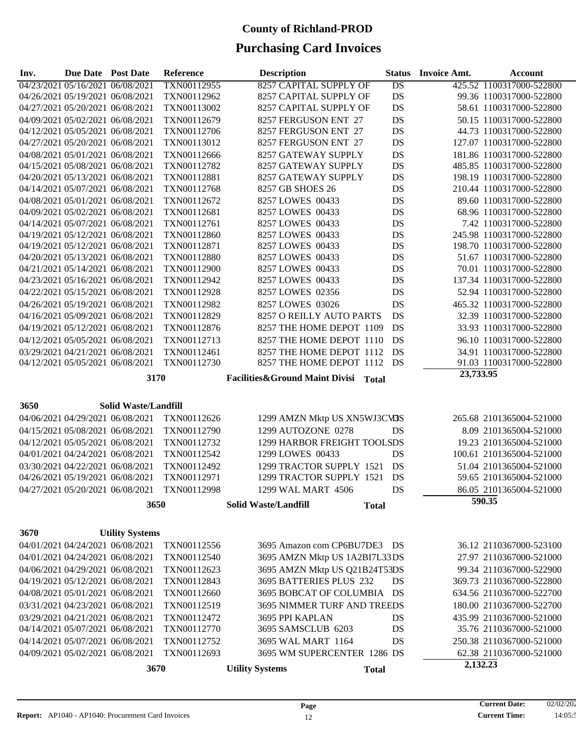| Inv. | Due Date Post Date               |                                  | Reference   | <b>Description</b>                          | <b>Status</b>   | <b>Invoice Amt.</b> | <b>Account</b>           |
|------|----------------------------------|----------------------------------|-------------|---------------------------------------------|-----------------|---------------------|--------------------------|
|      |                                  | 04/23/2021 05/16/2021 06/08/2021 | TXN00112955 | <b>8257 CAPITAL SUPPLY OF</b>               | $\overline{DS}$ |                     | 425.52 1100317000-522800 |
|      |                                  | 04/26/2021 05/19/2021 06/08/2021 | TXN00112962 | 8257 CAPITAL SUPPLY OF                      | DS              |                     | 99.36 1100317000-522800  |
|      |                                  | 04/27/2021 05/20/2021 06/08/2021 | TXN00113002 | 8257 CAPITAL SUPPLY OF                      | DS              |                     | 58.61 1100317000-522800  |
|      |                                  | 04/09/2021 05/02/2021 06/08/2021 | TXN00112679 | 8257 FERGUSON ENT 27                        | DS              |                     | 50.15 1100317000-522800  |
|      |                                  | 04/12/2021 05/05/2021 06/08/2021 | TXN00112706 | 8257 FERGUSON ENT 27                        | DS              |                     | 44.73 1100317000-522800  |
|      |                                  | 04/27/2021 05/20/2021 06/08/2021 | TXN00113012 | 8257 FERGUSON ENT 27                        | DS              |                     | 127.07 1100317000-522800 |
|      |                                  | 04/08/2021 05/01/2021 06/08/2021 | TXN00112666 | 8257 GATEWAY SUPPLY                         | DS              |                     | 181.86 1100317000-522800 |
|      |                                  | 04/15/2021 05/08/2021 06/08/2021 | TXN00112782 | 8257 GATEWAY SUPPLY                         | DS              |                     | 485.85 1100317000-522800 |
|      |                                  | 04/20/2021 05/13/2021 06/08/2021 | TXN00112881 | 8257 GATEWAY SUPPLY                         | DS              |                     | 198.19 1100317000-522800 |
|      |                                  | 04/14/2021 05/07/2021 06/08/2021 | TXN00112768 | 8257 GB SHOES 26                            | DS              |                     | 210.44 1100317000-522800 |
|      |                                  | 04/08/2021 05/01/2021 06/08/2021 | TXN00112672 | 8257 LOWES 00433                            | DS              |                     | 89.60 1100317000-522800  |
|      |                                  | 04/09/2021 05/02/2021 06/08/2021 | TXN00112681 | 8257 LOWES 00433                            | DS              |                     | 68.96 1100317000-522800  |
|      |                                  | 04/14/2021 05/07/2021 06/08/2021 | TXN00112761 | 8257 LOWES 00433                            | DS              |                     | 7.42 1100317000-522800   |
|      |                                  | 04/19/2021 05/12/2021 06/08/2021 | TXN00112860 | 8257 LOWES 00433                            | DS              |                     | 245.98 1100317000-522800 |
|      |                                  | 04/19/2021 05/12/2021 06/08/2021 | TXN00112871 | 8257 LOWES 00433                            | DS              |                     | 198.70 1100317000-522800 |
|      |                                  | 04/20/2021 05/13/2021 06/08/2021 | TXN00112880 | 8257 LOWES 00433                            | DS              |                     | 51.67 1100317000-522800  |
|      |                                  | 04/21/2021 05/14/2021 06/08/2021 | TXN00112900 | 8257 LOWES 00433                            | DS              |                     | 70.01 1100317000-522800  |
|      |                                  | 04/23/2021 05/16/2021 06/08/2021 | TXN00112942 | 8257 LOWES 00433                            | DS              |                     | 137.34 1100317000-522800 |
|      |                                  | 04/22/2021 05/15/2021 06/08/2021 | TXN00112928 | 8257 LOWES 02356                            | DS              |                     | 52.94 1100317000-522800  |
|      |                                  | 04/26/2021 05/19/2021 06/08/2021 | TXN00112982 | 8257 LOWES 03026                            | DS              |                     | 465.32 1100317000-522800 |
|      |                                  | 04/16/2021 05/09/2021 06/08/2021 | TXN00112829 | 8257 O REILLY AUTO PARTS                    | DS              |                     | 32.39 1100317000-522800  |
|      |                                  | 04/19/2021 05/12/2021 06/08/2021 | TXN00112876 | 8257 THE HOME DEPOT 1109                    | DS              |                     | 33.93 1100317000-522800  |
|      |                                  | 04/12/2021 05/05/2021 06/08/2021 | TXN00112713 | 8257 THE HOME DEPOT 1110                    | DS              |                     | 96.10 1100317000-522800  |
|      |                                  | 03/29/2021 04/21/2021 06/08/2021 | TXN00112461 | 8257 THE HOME DEPOT 1112                    | DS              |                     | 34.91 1100317000-522800  |
|      | 04/12/2021 05/05/2021 06/08/2021 |                                  | TXN00112730 | 8257 THE HOME DEPOT 1112 DS                 |                 |                     | 91.03 1100317000-522800  |
|      |                                  | 3170                             |             | Facilities&Ground Maint Divisi Total        |                 | 23,733.95           |                          |
|      |                                  |                                  |             |                                             |                 |                     |                          |
|      |                                  |                                  |             |                                             |                 |                     |                          |
| 3650 |                                  | <b>Solid Waste/Landfill</b>      |             |                                             |                 |                     |                          |
|      |                                  | 04/06/2021 04/29/2021 06/08/2021 | TXN00112626 | 1299 AMZN Mktp US XN5WJ3CV3S                |                 |                     | 265.68 2101365004-521000 |
|      |                                  | 04/15/2021 05/08/2021 06/08/2021 | TXN00112790 | 1299 AUTOZONE 0278                          | DS              |                     | 8.09 2101365004-521000   |
|      |                                  | 04/12/2021 05/05/2021 06/08/2021 | TXN00112732 | 1299 HARBOR FREIGHT TOOLSDS                 |                 |                     | 19.23 2101365004-521000  |
|      |                                  | 04/01/2021 04/24/2021 06/08/2021 | TXN00112542 | 1299 LOWES 00433                            | <b>DS</b>       |                     | 100.61 2101365004-521000 |
|      |                                  | 03/30/2021 04/22/2021 06/08/2021 | TXN00112492 | 1299 TRACTOR SUPPLY 1521                    | DS              |                     | 51.04 2101365004-521000  |
|      |                                  | 04/26/2021 05/19/2021 06/08/2021 | TXN00112971 | 1299 TRACTOR SUPPLY 1521                    | DS              |                     | 59.65 2101365004-521000  |
|      |                                  | 04/27/2021 05/20/2021 06/08/2021 | TXN00112998 | 1299 WAL MART 4506                          | DS              |                     | 86.05 2101365004-521000  |
|      |                                  | 3650                             |             | <b>Solid Waste/Landfill</b><br><b>Total</b> |                 |                     | 590.35                   |
|      |                                  |                                  |             |                                             |                 |                     |                          |
| 3670 |                                  | <b>Utility Systems</b>           |             |                                             |                 |                     |                          |
|      |                                  | 04/01/2021 04/24/2021 06/08/2021 |             | 3695 Amazon com CP6BU7DE3 DS                |                 |                     |                          |
|      |                                  |                                  | TXN00112556 |                                             |                 |                     | 36.12 2110367000-523100  |
|      |                                  | 04/01/2021 04/24/2021 06/08/2021 | TXN00112540 | 3695 AMZN Mktp US 1A2BI7L33DS               |                 |                     | 27.97 2110367000-521000  |
|      |                                  | 04/06/2021 04/29/2021 06/08/2021 | TXN00112623 | 3695 AMZN Mktp US Q21B24T53DS               |                 |                     | 99.34 2110367000-522900  |
|      |                                  | 04/19/2021 05/12/2021 06/08/2021 | TXN00112843 | 3695 BATTERIES PLUS 232                     | DS              |                     | 369.73 2110367000-522800 |
|      |                                  | 04/08/2021 05/01/2021 06/08/2021 | TXN00112660 | 3695 BOBCAT OF COLUMBIA DS                  |                 |                     | 634.56 2110367000-522700 |
|      |                                  | 03/31/2021 04/23/2021 06/08/2021 | TXN00112519 | 3695 NIMMER TURF AND TREEDS                 |                 |                     | 180.00 2110367000-522700 |
|      |                                  | 03/29/2021 04/21/2021 06/08/2021 | TXN00112472 | 3695 PPI KAPLAN                             | DS              |                     | 435.99 2110367000-521000 |
|      |                                  | 04/14/2021 05/07/2021 06/08/2021 | TXN00112770 | 3695 SAMSCLUB 6203                          | DS              |                     | 35.76 2110367000-521000  |
|      |                                  | 04/14/2021 05/07/2021 06/08/2021 | TXN00112752 | 3695 WAL MART 1164                          | DS              |                     | 250.38 2110367000-521000 |
|      | 04/09/2021 05/02/2021 06/08/2021 |                                  | TXN00112693 | 3695 WM SUPERCENTER 1286 DS                 |                 |                     | 62.38 2110367000-521000  |
|      |                                  | 3670                             |             | <b>Utility Systems</b><br><b>Total</b>      |                 | 2,132.23            |                          |
|      |                                  |                                  |             |                                             |                 |                     |                          |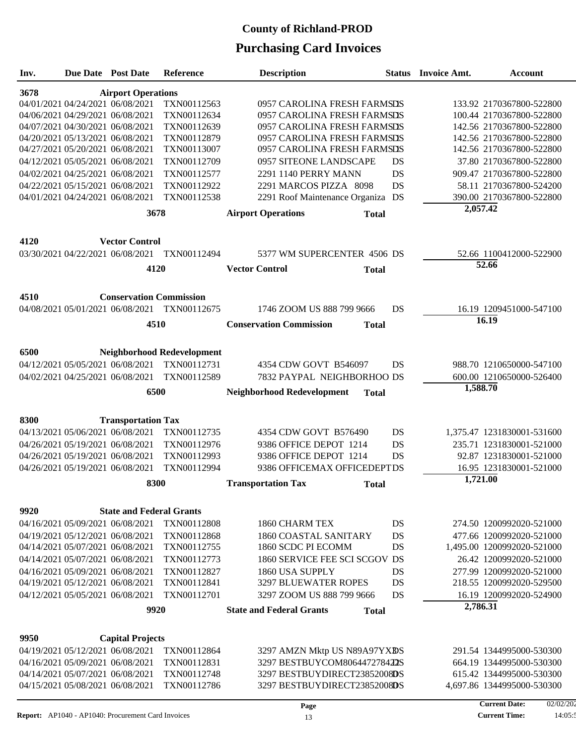| Inv.                              |  | <b>Due Date Post Date</b>                                            | <b>Reference</b>                  | <b>Description</b>                             |          | <b>Status</b> Invoice Amt. | <b>Account</b>                                       |  |  |  |  |  |
|-----------------------------------|--|----------------------------------------------------------------------|-----------------------------------|------------------------------------------------|----------|----------------------------|------------------------------------------------------|--|--|--|--|--|
| 3678<br><b>Airport Operations</b> |  |                                                                      |                                   |                                                |          |                            |                                                      |  |  |  |  |  |
|                                   |  | 04/01/2021 04/24/2021 06/08/2021                                     | TXN00112563                       | 0957 CAROLINA FRESH FARMSDS                    |          |                            | 133.92 2170367800-522800                             |  |  |  |  |  |
|                                   |  | 04/06/2021 04/29/2021 06/08/2021                                     | TXN00112634                       | 0957 CAROLINA FRESH FARMSDS                    |          |                            | 100.44 2170367800-522800                             |  |  |  |  |  |
|                                   |  | 04/07/2021 04/30/2021 06/08/2021                                     | TXN00112639                       | 0957 CAROLINA FRESH FARMSDS                    |          |                            | 142.56 2170367800-522800                             |  |  |  |  |  |
|                                   |  | 04/20/2021 05/13/2021 06/08/2021                                     | TXN00112879                       | 0957 CAROLINA FRESH FARMSDS                    |          |                            | 142.56 2170367800-522800                             |  |  |  |  |  |
|                                   |  | 04/27/2021 05/20/2021 06/08/2021                                     | TXN00113007                       | 0957 CAROLINA FRESH FARMSDS                    |          |                            | 142.56 2170367800-522800                             |  |  |  |  |  |
|                                   |  | 04/12/2021 05/05/2021 06/08/2021                                     | TXN00112709                       | 0957 SITEONE LANDSCAPE                         | DS       |                            | 37.80 2170367800-522800                              |  |  |  |  |  |
|                                   |  | 04/02/2021 04/25/2021 06/08/2021                                     | TXN00112577                       | 2291 1140 PERRY MANN                           | DS       |                            | 909.47 2170367800-522800                             |  |  |  |  |  |
|                                   |  | 04/22/2021 05/15/2021 06/08/2021                                     | TXN00112922                       | 2291 MARCOS PIZZA 8098                         | DS       |                            | 58.11 2170367800-524200                              |  |  |  |  |  |
|                                   |  | 04/01/2021 04/24/2021 06/08/2021                                     | TXN00112538                       | 2291 Roof Maintenance Organiza DS              |          |                            | 390.00 2170367800-522800                             |  |  |  |  |  |
|                                   |  | 3678                                                                 |                                   | <b>Airport Operations</b><br><b>Total</b>      |          | 2,057.42                   |                                                      |  |  |  |  |  |
|                                   |  |                                                                      |                                   |                                                |          |                            |                                                      |  |  |  |  |  |
| 4120<br><b>Vector Control</b>     |  |                                                                      |                                   |                                                |          |                            |                                                      |  |  |  |  |  |
|                                   |  | 03/30/2021 04/22/2021 06/08/2021                                     | TXN00112494                       | 5377 WM SUPERCENTER 4506 DS                    |          |                            | 52.66 1100412000-522900<br>52.66                     |  |  |  |  |  |
|                                   |  | 4120                                                                 |                                   | <b>Vector Control</b><br><b>Total</b>          |          |                            |                                                      |  |  |  |  |  |
| 4510                              |  | <b>Conservation Commission</b>                                       |                                   |                                                |          |                            |                                                      |  |  |  |  |  |
|                                   |  | 04/08/2021 05/01/2021 06/08/2021                                     | TXN00112675                       | 1746 ZOOM US 888 799 9666                      | DS       |                            | 16.19 1209451000-547100                              |  |  |  |  |  |
|                                   |  | 4510                                                                 |                                   | <b>Conservation Commission</b><br><b>Total</b> |          |                            | 16.19                                                |  |  |  |  |  |
|                                   |  |                                                                      |                                   |                                                |          |                            |                                                      |  |  |  |  |  |
| 6500                              |  |                                                                      | <b>Neighborhood Redevelopment</b> |                                                |          |                            |                                                      |  |  |  |  |  |
|                                   |  | 04/12/2021 05/05/2021 06/08/2021                                     | TXN00112731                       | 4354 CDW GOVT B546097                          | DS       |                            | 988.70 1210650000-547100                             |  |  |  |  |  |
|                                   |  | 04/02/2021 04/25/2021 06/08/2021                                     | TXN00112589                       | 7832 PAYPAL NEIGHBORHOO DS                     |          |                            | 600.00 1210650000-526400                             |  |  |  |  |  |
|                                   |  | 6500                                                                 |                                   | Neighborhood Redevelopment<br><b>Total</b>     |          | 1,588.70                   |                                                      |  |  |  |  |  |
|                                   |  |                                                                      |                                   |                                                |          |                            |                                                      |  |  |  |  |  |
| 8300                              |  | <b>Transportation Tax</b>                                            |                                   |                                                |          |                            |                                                      |  |  |  |  |  |
|                                   |  | 04/13/2021 05/06/2021 06/08/2021                                     | TXN00112735                       | 4354 CDW GOVT B576490                          | DS       |                            | 1,375.47 1231830001-531600                           |  |  |  |  |  |
|                                   |  | 04/26/2021 05/19/2021 06/08/2021                                     | TXN00112976                       | 9386 OFFICE DEPOT 1214                         | DS       |                            | 235.71 1231830001-521000                             |  |  |  |  |  |
|                                   |  | 04/26/2021 05/19/2021 06/08/2021                                     | TXN00112993                       | 9386 OFFICE DEPOT 1214                         | DS       |                            | 92.87 1231830001-521000                              |  |  |  |  |  |
|                                   |  | 04/26/2021 05/19/2021 06/08/2021                                     | TXN00112994                       | 9386 OFFICEMAX OFFICEDEPTDS                    |          |                            | 16.95 1231830001-521000                              |  |  |  |  |  |
|                                   |  | 8300                                                                 |                                   | <b>Transportation Tax</b><br><b>Total</b>      |          | 1,721.00                   |                                                      |  |  |  |  |  |
|                                   |  | <b>State and Federal Grants</b>                                      |                                   |                                                |          |                            |                                                      |  |  |  |  |  |
| 9920                              |  | 04/16/2021 05/09/2021 06/08/2021                                     | TXN00112808                       | 1860 CHARM TEX                                 | DS       |                            | 274.50 1200992020-521000                             |  |  |  |  |  |
|                                   |  | 04/19/2021 05/12/2021 06/08/2021                                     | TXN00112868                       | 1860 COASTAL SANITARY                          | DS       |                            | 477.66 1200992020-521000                             |  |  |  |  |  |
|                                   |  | 04/14/2021 05/07/2021 06/08/2021                                     | TXN00112755                       | 1860 SCDC PI ECOMM                             | DS       |                            | 1,495.00 1200992020-521000                           |  |  |  |  |  |
|                                   |  | 04/14/2021 05/07/2021 06/08/2021                                     |                                   | 1860 SERVICE FEE SCI SCGOV DS                  |          |                            | 26.42 1200992020-521000                              |  |  |  |  |  |
|                                   |  |                                                                      | TXN00112773<br>TXN00112827        |                                                |          |                            |                                                      |  |  |  |  |  |
|                                   |  | 04/16/2021 05/09/2021 06/08/2021<br>04/19/2021 05/12/2021 06/08/2021 | TXN00112841                       | 1860 USA SUPPLY<br><b>3297 BLUEWATER ROPES</b> | DS<br>DS |                            | 277.99 1200992020-521000<br>218.55 1200992020-529500 |  |  |  |  |  |
|                                   |  | 04/12/2021 05/05/2021 06/08/2021                                     | TXN00112701                       | 3297 ZOOM US 888 799 9666                      | DS       |                            | 16.19 1200992020-524900                              |  |  |  |  |  |
|                                   |  |                                                                      |                                   |                                                |          | 2,786.31                   |                                                      |  |  |  |  |  |
| 9920                              |  | <b>State and Federal Grants</b><br><b>Total</b>                      |                                   |                                                |          |                            |                                                      |  |  |  |  |  |
| 9950                              |  | <b>Capital Projects</b>                                              |                                   |                                                |          |                            |                                                      |  |  |  |  |  |
|                                   |  | 04/19/2021 05/12/2021 06/08/2021                                     | TXN00112864                       | 3297 AMZN Mktp US N89A97YXBS                   |          |                            | 291.54 1344995000-530300                             |  |  |  |  |  |
|                                   |  | 04/16/2021 05/09/2021 06/08/2021                                     | TXN00112831                       | 3297 BESTBUYCOM806447278422S                   |          |                            | 664.19 1344995000-530300                             |  |  |  |  |  |
|                                   |  | 04/14/2021 05/07/2021 06/08/2021                                     | TXN00112748                       | 3297 BESTBUYDIRECT23852008DS                   |          |                            | 615.42 1344995000-530300                             |  |  |  |  |  |
|                                   |  | 04/15/2021 05/08/2021 06/08/2021                                     | TXN00112786                       | 3297 BESTBUYDIRECT23852008DS                   |          |                            | 4,697.86 1344995000-530300                           |  |  |  |  |  |
|                                   |  |                                                                      |                                   |                                                |          |                            |                                                      |  |  |  |  |  |